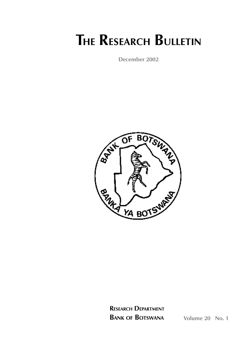# **THE RESEARCH BULLETIN**

**December 2002**



**RESEARCH DEPARTMENT BANK OF BOTSWANA Volume 20 No. 1**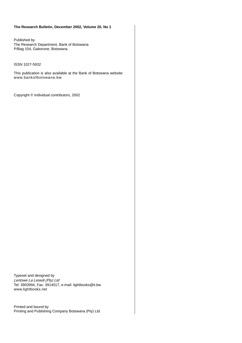#### **The Research Bulletin, December 2002, Volume 20, No 1**

Published by The Research Department, Bank of Botswana P/Bag 154, Gaborone, Botswana.

ISSN 1027-5932

This publication is also available at the Bank of Botswana website: www.bankofbotswana.bw

Copyright © Individual contributors, 2002

Typeset and designed by *Lentswe La Lesedi (Pty) Ltd* Tel: 3903994, Fax: 3914017, e-mail: lightbooks@it.bw www.lightbooks.net

Printed and bound by Printing and Publishing Company Botswana (Pty) Ltd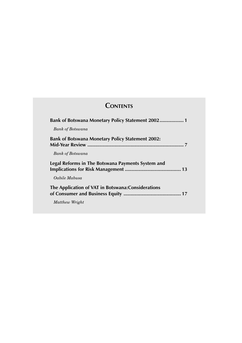# **CONTENTS**

| Bank of Botswana Monetary Policy Statement 2002 1       |
|---------------------------------------------------------|
| <b>Bank of Botswana</b>                                 |
| <b>Bank of Botswana Monetary Policy Statement 2002:</b> |
|                                                         |
| <b>Bank of Botswana</b>                                 |
| Legal Reforms in The Botswana Payments System and       |
| Oabile Mabusa                                           |
| The Application of VAT in Botswana: Considerations      |
| Matthew Wright                                          |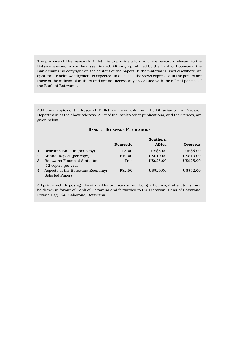The purpose of The Research Bulletin is to provide a forum where research relevant to the Botswana economy can be disseminated. Although produced by the Bank of Botswana, the Bank claims no copyright on the content of the papers. If the material is used elsewhere, an appropriate acknowledgement is expected. In all cases, the views expressed in the papers are those of the individual authors and are not necessarily associated with the official policies of the Bank of Botswana.

Additional copies of the Research Bulletin are available from The Librarian of the Research Department at the above address. A list of the Bank's other publications, and their prices, are given below.

### **BANK OF BOTSWANA PUBLICATIONS**

|    |                                      |                    | Southern  |                 |
|----|--------------------------------------|--------------------|-----------|-----------------|
|    |                                      | <b>Domestic</b>    | Africa    | <b>Overseas</b> |
| 1. | Research Bulletin (per copy)         | P <sub>5.00</sub>  | US\$5.00  | US\$5.00        |
| 2. | Annual Report (per copy)             | P <sub>10.00</sub> | US\$10.00 | US\$10.00       |
| 3. | <b>Botswana Financial Statistics</b> | Free               | US\$25.00 | US\$25.00       |
|    | $(12 \text{ copies per year})$       |                    |           |                 |
| 4. | Aspects of the Botswana Economy:     | P82.50             | US\$29.00 | US\$42.00       |
|    | <b>Selected Papers</b>               |                    |           |                 |

All prices include postage (by airmail for overseas subscribers). Cheques, drafts, etc., should be drawn in favour of Bank of Botswana and forwarded to the Librarian, Bank of Botswana, Private Bag 154, Gaborone, Botswana.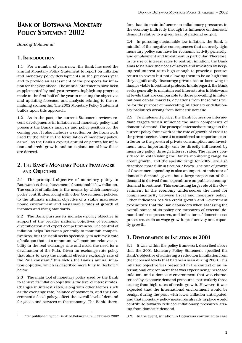## **BANK OF BOTSWANA MONETARY POLICY STATEMENT 2002**

*Bank of Botswana<sup>1</sup>*

### **1. INTRODUCTION**

1.1 For a number of years now, the Bank has used the annual Monetary Policy Statement to report on inflation and monetary policy developments in the previous year and to provide an assessment of the prospects for inflation for the year ahead. The annual Statements have been supplemented by mid-year reviews, highlighting progress made in the first half of the year in meeting the objectives and updating forecasts and analysis relating to the remaining six months. The 2002 Monetary Policy Statement builds upon this approach.

1.2 As in the past, the current Statement reviews recent developments in inflation and monetary policy and presents the Bank's analysis and policy position for the coming year. It also includes a section on the framework used by the Bank in the formulation of monetary policy, as well as the Bank's explicit annual objectives for inflation and credit growth, and an explanation of how these are derived.

### **2**. **THE BANK'S MONETARY POLICY FRAMEWORK AND OBJECTIVES**

2.1 The principal objective of monetary policy in Botswana is the achievement of sustainable low inflation. The control of inflation is the means by which monetary policy contributes, along with other Government policies, to the ultimate national objective of a stable macroeconomic environment and sustainable rates of growth of incomes and living standards.

2.2 The Bank pursues its monetary policy objective in support of the broader national objectives of economic diversification and export competitiveness. The control of inflation helps Botswana generally to maintain competitiveness, but the Bank seeks specifically to achieve a rate of inflation that, at a minimum, will maintain relative stability in the real exchange rate and avoid the need for a devaluation of the Pula. Given an exchange rate policy that aims to keep the nominal effective exchange rate of the Pula  $constant$ , $^{2}$  this yields the Bank's annual inflation objective, which is described more fully in Section 7 below.

2.3 The main tool of monetary policy used by the Bank to achieve its inflation objective is the level of interest rates. Changes in interest rates, along with other factors such as the exchange rate, balance of payments, and the Government's fiscal policy, affect the overall level of demand for goods and services in the economy. The Bank, therefore, has its main influence on inflationary pressures in the economy indirectly through its influence on domestic demand relative to a given level of national output.

2.4 In pursuing sustainable low inflation, the Bank is mindful of the negative consequences that an overly tight monetary policy can have for economic activity generally, and employment and investment in particular. Therefore, in its use of interest rates to restrain inflation, the Bank aims to balance the needs of savers and investors by keeping real interest rates high enough to provide a positive return to savers but not allowing them to be so high that they significantly discourage private sector borrowing to finance viable investment projects. In this regard, the Bank seeks generally to maintain real interest rates in Botswana at levels that are comparable to those prevailing in international capital markets; deviations from these rates will be for the purpose of moderating inflationary or deflationary pressures arising from domestic demand.

2.5 To implement policy, the Bank focuses on intermediate targets which influence the main components of domestic demand. The principal intermediate target in the current policy framework is the rate of growth of credit to the private sector, since it is considered an important contributor to the growth of private consumption and investment and, importantly, can be directly influenced by monetary policy through interest rates. The factors considered in establishing the Bank's monitoring range for credit growth, and the specific range for 2002, are also described more fully in Section 7 below. The rate of growth of Government spending is also an important indicator of domestic demand, given that a large proportion of this demand is derived from expenditure on public consumption and investment. This continuing large role of the Government in the economy underscores the need for complementarity between fiscal and monetary policy. Other indicators besides credit growth and Government expenditure that the Bank considers when assessing the overall stance of its policy are measures of external demand and cost pressures, and indicators of domestic cost pressures, such as wage growth, productivity and capacity growth.

### **3. DEVELOPMENTS IN INFLATION IN 2001**

3.1 It was within the policy framework described above that the 2001 Monetary Policy Statement specified the Bank's objective of achieving a reduction in inflation from the increased levels that had been seen during 2000. This inflation objective was presented in the context of an international environment that was experiencing increased inflation, and a domestic environment that was characterised by excessive demand pressures, particularly those arising from high rates of credit growth. However, it was expected that the international environment would be benign during the year, with lower inflation anticipated, and that monetary policy measures already in place would contribute towards reduced inflationary pressures arising from domestic demand.

3.2 In the event, inflation in Botswana continued to ease

<sup>1</sup> First published by the Bank of Botswana, 20 February 2002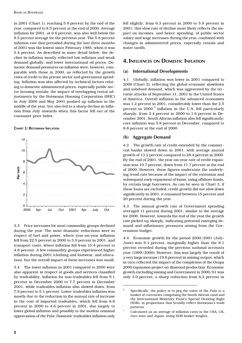in 2001 (Chart 1), reaching 5.8 percent by the end of the year, compared to 8.5 percent at the end of 2000. Average inflation for 2001, at 6.6 percent, was also well below the 8.5 percent average for the previous year. The 5.8 percent inflation rate that prevailed during the last three months of 2001 was the lowest since February 1985, when it was 5.4 percent. As described in more detail below, the decline in inflation mostly reflected low inflation and weak demand globally, and lower international oil prices. Domestic demand pressures on inflation were, however, comparable with those in 2000, as reflected by the growth rates of credit to the private sector and government spending. Inflation was also affected by technical factors relating to domestic administered prices, especially public sector housing rentals; the impact of overlapping rental adjustments by the Botswana Housing Corporation (BHC) in July 2000 and May 2001 pushed up inflation in the middle of the year, but also led to a sharp decline in inflation from July onwards when this factor fell out of the consumer price index.

#### **CHART 1: BOTSWANA INFLATION**



3.3 Price increases for most commodity groups declined during the year. The most dramatic reductions were in respect of fuel and power, where year-on-year inflation fell from 22.5 percent in 2000 to 3.0 percent in 2001, and transport costs, where inflation fell from 15.4 percent to 4.8 percent. A few commodity groups experienced higher inflation during 2001 (clothing and footwear, and education), but the overall impact of these increases was small.

3.4 The lower inflation in 2001 compared to 2000 were also apparent in respect of goods and services classified by tradeability. Inflation for non-tradeables fell from 9.1 percent in December 2000 to 7.7 percent in December 2001, while tradeables inflation also slowed down, from 7.9 percent to 5.1 percent. Lower tradeables inflation was mostly due to the reduction in the annual rate of increase in the cost of imported tradeables, which fell from 8.8 percent in 2000 to 4.6 percent in 2001, due largely to lower global inflation and possibly to the modest nominal appreciation of the Pula. Domestic tradeables inflation only

fell slightly, from 6.3 percent in 2000 to 5.9 percent in 2001; this slow rate of decline most likely reflects the impact on incomes, and hence spending, of public sector salary and wage increases during the year, combined with changes in administered prices, especially rentals and water tariffs.

### **4. INFLUENCES ON DOMESTIC INFLATION**

### **(a) International Developments**

4.1 Globally, inflation was lower in 2001 compared to 2000 (Chart 2), reflecting the global economic slowdown and subdued demand, which was aggravated by the terrorist attacks of September 11, 2001 in the United States of America. Overall inflation in the advanced economies was 1.2 percent in 2001, considerably lower than the 2.5 percent in 2000.<sup>3</sup> Inflation in the U.S. fell particularly sharply, from 3.4 percent in 2000 to 1.6 percent in December 2001. South African inflation also fell significantly; core inflation was 5.8 percent in December, compared to 8.6 percent at the end of 2000.

#### **(b) Aggregate Demand**

4.2 The growth rate of credit extended by the commercial banks slowed down in 2001, with average annual growth of 13.2 percent compared to 28.4 percent in 2000. By the end of 2001, the year-on-year rate of credit expansion was 10.7 percent, down from 17.7 percent at the end of 2000. However, these figures understate the underlying trend rate because of the impact of the extension and subsequent early repayment of loans, using offshore funds, by certain large borrowers. As can be seen in Chart 3, if these loans are excluded, credit growth did not slow down significantly in 2001; it remained between 15 percent and 20 percent during the year.

4.3 The annual growth rate of Government spending averaged 11 percent during 2001, similar to the average for 2000. However, towards the end of the year the growth rate picked up sharply, indicating potential emerging demand and inflationary pressures arising from the Government budget.

4.4 Economic growth for the period 2000/2001 (July-June) was 9.1 percent, marginally higher than the 8.1 percent recorded during the previous national accounts year (1999/2000). However, this was largely the result of a very large increase (19.6 percent) in mining output, which in turn reflected the impact of the completion of the Orapa 2000 expansion project on diamond production. Economic growth excluding mining and Government in 2000/01 was only 3.0 percent, a sharp reduction from 6.2 percent in

<sup>2</sup> Specifically, the policy is to peg the value of the Pula to a basket of currencies comprising the South African rand and the International Monetary Fund's Special Drawing Right (SDR), in proportions that broadly reflect Botswana's trade patterns.

 $1$  Calculated as an average of inflation rates in the USA, UK, euro zone and Japan, using SDR basket weights.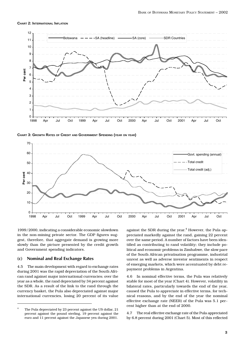



**CHART 3: GROWTH RATES OF CREDIT AND GOVERNMENT SPENDING (YEAR ON YEAR)**



1999/2000, indicating a considerable economic slowdown in the non-mining private sector. The GDP figures suggest, therefore, that aggregate demand is growing more slowly than the picture presented by the credit growth and Government spending indicators.

#### **(c) Nominal and Real Exchange Rates**

4.5 The main development with regard to exchange rates during 2001 was the rapid depreciation of the South African rand against major international currencies; over the year as a whole, the rand depreciated by 34 percent against the SDR. As a result of the link to the rand through the currency basket, the Pula also depreciated against major international currencies, losing 20 percent of its value

against the SDR during the year. $^4$  However, the Pula appreciated markedly against the rand, gaining 22 percent over the same period. A number of factors have been identified as contributing to rand volatility; they include political and economic problems in Zimbabwe, the slow pace of the South African privatisation programme, industrial unrest as well as adverse investor sentiments in respect of emerging markets, which were accentuated by debt repayment problems in Argentina.

4.6 In nominal effective terms, the Pula was relatively stable for most of the year (Chart 4). However, volatility in bilateral rates, particularly towards the end of the year, caused the Pula to appreciate in effective terms, for technical reasons, and by the end of the year the nominal effective exchange rate (NEER) of the Pula was 5.1 percent higher than at the end of 2000.

4.7 The real effective exchange rate of the Pula appreciated by 6.8 percent during 2001 (Chart 5). Most of this reflected

<sup>4</sup> The Pula depreciated by 23 percent against the US dollar, 21 percent against the pound sterling, 19 percent against the euro and 11 percent against the Japanese yen during 2001.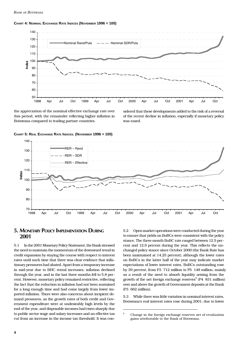



the appreciation of the nominal effective exchange rate over this period, with the remainder reflecting higher inflation in Botswana compared to trading partner countries.

sidered that these developments added to the risk of a reversal of the recent decline in inflation, especially if monetary policy was eased.



### **5. MONETARY POLICY IMPLEMENTATION DURING 2001**

5.1 In the 2001 Monetary Policy Statement, the Bank stressed the need to maintain the momentum of the downward trend in credit expansion by staying the course with respect to interest rates until such time that there was clear evidence that inflationary pressures had abated. Apart from a temporary increase in mid-year due to BHC rental increases, inflation declined through the year, and in the last three months fell to 5.8 percent. However, monetary policy remained restrictive, reflecting the fact that the reduction in inflation had not been sustained for a long enough time and had come largely from lower imported inflation. There were also concerns about incipient demand pressures, as the growth rates of both credit and Government expenditure were at undesirably high levels by the end of the year, and disposable incomes had risen sharply due to public sector wage and salary increases and an effective tax cut from an increase in the income tax threshold. It was con5.2 Open market operations were conducted during the year to ensure that yields on BoBCs were consistent with the policy stance. The three-month BoBC rate ranged between 12.5 percent and 12.9 percent during the year. This reflects the unchanged policy stance since October 2000 (the Bank Rate has been maintained at 14.25 percent), although the lower rates on BoBCs in the latter half of the year may indicate market expectations of lower interest rates. BoBCs outstanding rose by 39 percent, from P3 712 million to P5 148 million, mainly as a result of the need to absorb liquidity arising from the growth of the net foreign exchange reserves $^5$  (P4  $\,$  831 million) over and above the growth of Government deposits at the Bank (P3 662 million).

5.3 While there was little variation in nominal interest rates, Botswana's real interest rates rose during 2001, due to lower

<sup>5</sup> Change in the foreign exchange reserves net of revaluation gains attributable to the Bank of Botswana.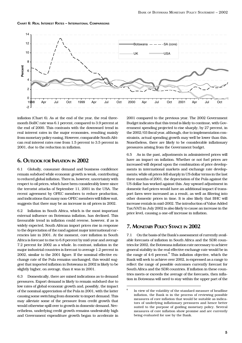

#### **CHART 6: REAL INTEREST RATES – INTERNATONAL COMPARISONS**

inflation (Chart 6). As at the end of the year, the real threemonth BoBC rate was 6.1 percent, compared to 3.9 percent at the end of 2000. This contrasts with the downward trend in real interest rates in the major economies, resulting mainly from monetary policy easing. However, comparable South African real interest rates rose from 1.5 percent to 3.5 percent in 2001, due to the reduction in inflation.

### **6. OUTLOOK FOR INFLATION IN 2002**

6.1 Globally, consumer demand and business confidence remain subdued while economic growth is weak, contributing to reduced global inflation. There is, however, uncertainty with respect to oil prices, which have been considerably lower since the terrorist attacks of September 11, 2001 in the USA. The recent agreement by OPEC members to reduce production, and indications that many non-OPEC members will follow suit, suggests that there may be an increase in oil prices in 2002.

6.2 Inflation in South Africa, which is the most important external influence on Botswana inflation, has declined. This favourable trend in inflation could reverse, however, if as is widely expected, South African import prices rise in response to the depreciation of the rand against major international currencies late in 2001. At the moment, core inflation in South Africa is forecast to rise to 6.8 percent by mid-year and average 7.2 percent for 2002 as a whole. In contrast, inflation in the major industrial countries is forecast to average 1.2 percent in 2002, similar to the 2001 figure. If the nominal effective exchange rate of the Pula remains unchanged, this would suggest that imported inflation in Botswana in 2002 is likely to be slightly higher, on average, than it was in 2001.

6.3 Domestically, there are mixed indications as to demand pressures. Export demand is likely to remain subdued due to low rates of global economic growth and, possibly, the impact of the nominal appreciation of the Pula in 2001, with the latter causing some switching from domestic to import demand. This may alleviate some of the pressure from credit growth that would otherwise spill over to growth in domestic demand. Nevertheless, underlying credit growth remains undesirably high and Government expenditure growth began to accelerate in 2001 compared to the previous year. The 2002 Government Budget indicates that this trend is likely to continue, with Government spending projected to rise sharply, by 27 percent, in the 2002/03 fiscal year, although, due to implementation constraints, actual spending growth may well be lower than this. Nonetheless, there are likely to be considerable inflationary pressures arising from the Government budget.

6.5 As in the past, adjustments in administered prices will have an impact on inflation. Whether or not fuel prices are increased will depend upon the combination of price developments in international markets and exchange rate developments; while oil prices fell sharply in US dollar terms in the last three months of 2001, the depreciation of the Pula against the US dollar has worked against this. Any upward adjustment in domestic fuel prices would have an additional impact if transport fares were increased as a result, as well as filtering into other domestic prices in time. It is also likely that BHC will increase rentals in mid-2002. The introduction of Value Added Tax (VAT) in July 2002 is also likely to cause an increase in the price level, causing a one-off increase in inflation.

### **7. MONETARY POLICY STANCE IN 2002**

7.1 On the basis of the Bank's assessment of currently available forecasts of inflation in South Africa and the SDR countries for 2002, the Botswana inflation rate necessary to achieve general stability in the real effective exchange rate would be in the range of 4-6 percent.<sup>6</sup> This inflation objective, which the Bank will seek to achieve over 2002, is expressed as a range to reflect the range of possible outcomes currently forecast for South Africa and the SDR countries. If inflation in these countries meets or exceeds the average of the forecasts, then inflation in Botswana will need to stay within the upper part of the

<sup>6</sup> In view of the volatility of the standard measure of headline inflation, the Bank is in the process of reviewing possible measures of core inflation that would be suitable as indicators of underlying inflationary pressures and hence better suited to the purpose of guiding monetary policy. Several measures of core inflation show promise and are currently being evaluated for use by the Bank.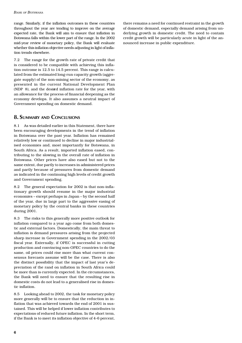range. Similarly, if the inflation outcomes in these countries throughout the year are tending to improve on the average expected rate, the Bank will aim to ensure that inflation in Botswana falls within the lower part of the range. In the 2002 mid-year review of monetary policy, the Bank will evaluate whether this inflation objective needs adjusting in light of inflation trends elsewhere.

7.2 The range for the growth rate of private credit that is considered to be compatible with achieving this inflation outcome is 12.5 to 14.5 percent. This range is calculated from the estimated long-run capacity growth (aggregate supply) of the non-mining sector of the economy, as presented in the current National Development Plan (NDP 8), and the desired inflation rate for the year, with an allowance for the process of financial deepening as the economy develops. It also assumes a neutral impact of Government spending on domestic demand.

### **8. SUMMARY AND CONCLUSIONS**

8.1 As was detailed earlier in this Statement, there have been encouraging developments in the trend of inflation in Botswana over the past year. Inflation has remained relatively low or continued to decline in major industrialised economies and, most importantly for Botswana, in South Africa. As a result, imported inflation eased, contributing to the slowing in the overall rate of inflation in Botswana. Other prices have also eased but not to the same extent, due partly to increases in administered prices and partly because of pressures from domestic demand as indicated in the continuing high levels of credit growth and Government spending.

8.2 The general expectation for 2002 is that non-inflationary growth should resume in the major industrial economies – except perhaps in Japan – by the second half of the year, due in large part to the aggressive easing of monetary policy by the central banks in these countries during 2001.

8.3 The risks to this generally more positive outlook for inflation compared to a year ago come from both domestic and external factors. Domestically, the main threat to inflation is demand pressures arising from the projected sharp increase in Government spending in the 2002/03 fiscal year. Externally, if OPEC is successful in cutting production and convincing non-OPEC countries to do the same, oil prices could rise more than what current consensus forecasts assume will be the case. There is also the distinct possibility that the impact of last year's depreciation of the rand on inflation in South Africa could be more than is currently expected. In the circumstances, the Bank will need to ensure that the resulting rise in domestic costs do not lead to a generalised rise in domestic inflation.

8.5 Looking ahead to 2002, the task for monetary policy more generally will be to ensure that the reduction in inflation that was achieved towards the end of 2001 is sustained. This will be helped if lower inflation contributes to expectations of reduced future inflation. In the short term, if the Bank is to meet its inflation objective of 4-6 percent,

there remains a need for continued restraint in the growth of domestic demand, especially demand arising from underlying growth in domestic credit. The need to contain credit growth will be particularly acute in light of the announced increase in public expenditure.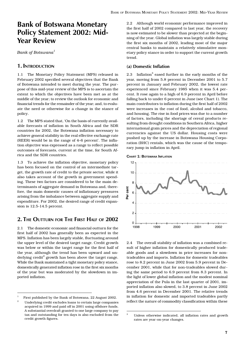# **Bank of Botswana Monetary Policy Statement 2002: Mid-Year Review**

*Bank of Botswana<sup>1</sup>*

### **1. INTRODUCTION**

1.1 The Monetary Policy Statement (MPS) released in February 2002 specified several objectives that the Bank of Botswana intended to meet during the year. The purpose of this mid-year review of the MPS is to ascertain the extent to which the objectives have been met as at the middle of the year; to review the outlook for economic and financial trends for the remainder of the year; and, to evaluate the need or otherwise for a change in the stance of policy.

1.2 The MPS stated that, 'On the basis of currently available forecasts of inflation in South Africa and the SDR countries for 2002, the Botswana inflation necessary to achieve general stability in the real effective exchange rate (REER) would be in the range of 4–6 percent'. The inflation objective was expressed as a range to reflect possible outcomes of forecasts, current at the time, for South Africa and the SDR countries.

1.3 To achieve the inflation objective, monetary policy has been focused on the control of an intermediate target, the growth rate of credit to the private sector, while it also takes account of the growth in government spending. These two factors are considered to be the main determinants of aggregate demand in Botswana and, therefore, the main domestic causes of inflationary pressures arising from the imbalance between aggregate supply and expenditure. For 2002, the desired range of credit expansion is 12.5-14.5 percent.

### **2. THE OUTTURN FOR THE FIRST HALF OF 2002**

2.1 The domestic economic and financial outturn for the first half of 2002 has generally been as expected in the MPS. Inflation has been largely stable, fluctuating around the upper level of the desired target range. Credit growth was below or within the target range for the first half of the year, although the trend has been upward and underlying credit $^2$  growth has been above the target range. While the Bank maintained a tight monetary policy stance, domestically generated inflation rose in the first six months of the year but was moderated by the slowdown in imported inflation.

2.2 Although world economic performance improved in the first half of 2002 compared to last year, the recovery is now estimated to be slower than projected at the beginning of the year. Global inflation was largely stable during the first six months of 2002, leading most of the major central banks to maintain a relatively stimulative monetary policy stance in order to support the current growth trend.

### **(a) Domestic Inflation**

2.3 Inflation $3$  eased further in the early months of the year, moving from 5.8 percent in December 2001 to 5.7 percent in January and February 2002, the lowest rate experienced since February 1985 when it was 5.4 percent. It rose again to a high of 6.9 percent in April before falling back to under 6 percent in June (see Chart 1). The main contributors to inflation during the first half of 2002 were increases in the cost of food, alcohol and tobacco, and housing. The rise in food prices was due to a number of factors, including the shortage of cereal products resulting from drought conditions in Southern Africa, higher international grain prices and the depreciation of regional currencies against the US dollar. Housing costs were pushed up by the increase in Botswana Housing Corporation (BHC) rentals, which was the cause of the temporary jump in inflation in April.





2.4 The overall stability of inflation was a combined result of higher inflation for domestically produced tradeable goods and a slowdown in price increases for nontradeables and imports. Inflation for domestic tradeables rose to 8.2 percent in June 2002 from 5.9 percent in December 2001, while that for non-tradeables slowed during the same period to 6.9 percent from 8.3 percent. In the light of lower global inflation and the modest nominal appreciation of the Pula in the last quarter of 2001, imported inflation also slowed, to 3.8 percent in June 2002 from 4.6 percent in December 2001. The relative trends in inflation for domestic and imported tradeables partly reflect the nature of commodity classification within these

<sup>1</sup> First published by the Bank of Botswana, 22 August 2002.

<sup>&</sup>lt;sup>2</sup> Underlying credit excludes loans to certain large companies acquired in 1999 and paid off in 2001 using offshore funds. A substantial overdraft granted to one large company to pay tax and outstanding for ten days is also excluded from the credit growth figures.

<sup>3</sup> Unless otherwise indicated, all inflation rates and growth rates are year-on-year changes.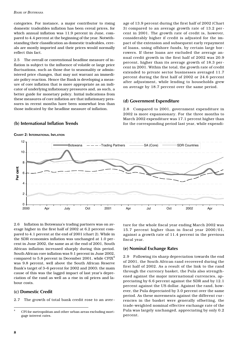categories. For instance, a major contributor to rising domestic tradeables inflation has been cereal prices, for which annual inflation was 11.9 percent in June, compared to 4.4 percent at the beginning of the year. Notwithstanding their classification as domestic tradeables, cereals are mostly imported and their prices would normally reflect this fact.

2.5 The overall or conventional headline measure of inflation is subject to the influence of volatile or large price fluctuations, such as those due to seasonality or administered price changes, that may not warrant an immediate policy reaction. Hence the Bank is developing a measure of core inflation that is more appropriate as an indicator of underlying inflationary pressures and, as such, a better guide for monetary policy. Initial indications from these measures of core inflation are that inflationary pressures in recent months have been somewhat less than those indicated by the headline measure of inflation.

**(b) International Inflation Trends**

age of 13.9 percent during the first half of 2002 (Chart 3) compared to an average growth rate of 13.2 percent in 2001. The growth rate of credit is, however, considerably higher if credit is adjusted for the impact of the extension and subsequent early repayment of loans, using offshore funds, by certain large borrowers. If these loans are excluded the average annual credit growth in the first half of 2002 was 20.9 percent, higher than its average growth of 18.3 per cent in 2001. Within the total, the growth rate of credit extended to private sector businesses averaged 11.7 percent during the first half of 2002 or 24.6 percent after adjustment, while lending to households grew on average by 18.7 percent over the same period.

### **(d) Government Expenditure**

2.8 Compared to 2001, government expenditure in 2002 is more expansionary. For the three months to March 2002 expenditure was 17.1 percent higher than for the corresponding period last year, while expendi-



2.6 Inflation in Botswana's trading partners was on average higher in the first half of 2002 at 6.2 percent compared to 4.1 percent at the end of 2001 (chart 2). While in the SDR economies inflation was unchanged at 1.0 percent in June 2002, the same as at the end of 2001, South African inflation increased sharply during this period. South African core inflation was 9.1 percent in June 2002, compared to 5.8 percent in December 2001, while  $CPIX<sup>4</sup>$ was 9.8 percent, well above the South African Reserve Bank's target of 3–6 percent for 2002 and 2003; the main cause of this was the lagged impact of last year's depreciation of the rand as well as a rise in oil prices and labour costs.

### **(c) Domestic Credit**

2.7 The growth of total bank credit rose to an aver-

ture for the whole fiscal year ending March 2002 was 15.7 percent higher than in fiscal year 2000/01, against a growth rate of 11.4 percent in the previous fiscal year.

#### **(e) Nominal Exchange Rates**

2.9 Following its sharp depreciation towards the end of 2001, the South African rand recovered during the first half of 2002. As a result of the link to the rand through the currency basket, the Pula also strengthened against the major international currencies, appreciating by 6.6 percent against the SDR and by 12.1 percent against the US dollar. Against the rand, however, the Pula depreciated by 3.0 percent over the same period. As these movements against the different currencies in the basket were generally offsetting, the trade-weighted nominal effective exchange rate of the Pula was largely unchanged, appreciating by only 0.2 percent.

#### **CHART 2: INTERNATIONAL INFLATION**

<sup>&</sup>lt;sup>4</sup> CPI for metropolitan and other urban areas excluding mortgage interest rates.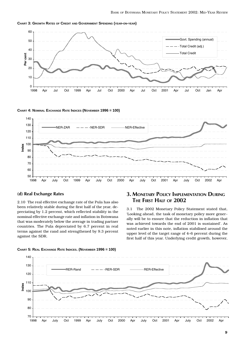



#### **CHART 4: NOMINAL EXCHANGE RATE INDICES (NOVEMBER 1996 = 100)**



### **(d) Real Exchange Rates**

2.10 The real effective exchange rate of the Pula has also been relatively stable during the first half of the year, depreciating by 1.2 percent, which reflected stability in the nominal effective exchange rate and inflation in Botswana that was moderately below the average in trading partner countries. The Pula depreciated by 6.7 percent in real terms against the rand and strengthened by 9.3 percent against the SDR.

### **3. MONETARY POLICY IMPLEMENTATION DURING THE FIRST HALF OF 2002**

3.1 The 2002 Monetary Policy Statement stated that, 'Looking ahead, the task of monetary policy more generally will be to ensure that the reduction in inflation that was achieved towards the end of 2001 is sustained'. As noted earlier in this note, inflation stabilised around the upper level of the target range of 4–6 percent during the first half of this year. Underlying credit growth, however,



**CHART 5: REAL EXCHANGE RATE INDICES. (NOVEMBER 1996 = 100)**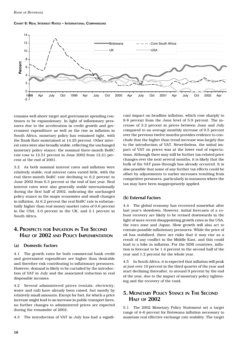#### **CHART 6: REAL INTEREST RATES – INTERNATONAL COMPARISONS**



remains well above target and government spending continues to be expansionary. In light of inflationary pressures due to the acceleration in credit growth and government expenditure as well as the rise in inflation in South Africa, monetary policy has remained tight, with the Bank Rate maintained at 14.25 percent. Other interest rates were also broadly stable, reflecting the unchanged monetary policy stance; the nominal three-month BoBC rate rose to 12.51 percent in June 2002 from 12.21 percent at the end of 2001.

3.2 As both nominal interest rates and inflation were relatively stable, real interest rates varied little, with the real three-month BoBC rate declining to 6.2 percent in June 2002 from 6.3 percent at the end of last year. Real interest rates were also generally stable internationally during the first half of 2002, indicating the unchanged policy stance in the major economies and small changes in inflation. At 6.2 percent the real BoBC rate is substantially higher than real money market rates of 0.6 percent in the USA, 3.0 percent in the UK, and 2.1 percent in South Africa.

### **4. PROSPECTS FOR INFLATION IN THE SECOND HALF OF 2002 AND POLICY IMPLEMENTATION**

#### **(a) Domestic Factors**

4.1 The growth rates for both commercial bank credit and government expenditure are higher than desirable and therefore risk contributing to inflationary pressures. However, demand is likely to be curtailed by the introduction of VAT in July and the associated reduction in real disposable incomes.

4.2 Several administered prices (rentals, electricity, water and rail) have already been raised, but mostly by relatively small amounts. Except for fuel, for which a price increase might lead to an increase in public transport fares, no further changes to administered prices are expected during the remainder of 2002.

4.3 The introduction of VAT in July has had a signifi-

cant impact on headline inflation, which rose sharply to 8.8 percent from the June level of 5.9 percent. The increase of 3.2 percent in prices between June and July compared to an average monthly increase of 0.5 percent over the previous twelve months provides evidence to conclude that the higher than trend increase was largely due to the introduction of VAT. Nevertheless, the initial impact of VAT on prices was at the lower end of expectations. Although there may still be further tax-related price changes over the next several months, it is likely that the bulk of the VAT pass-through has already occurred. It is also possible that some of any further tax effects could be offset by adjustments to earlier increases resulting from competitive pressures, particularly in instances where the tax may have been inappropriately applied.

#### **(b) External Factors**

4.4 The global economy has recovered somewhat after last year's slowdown. However, initial forecasts of a robust recovery are likely to be revised downwards in the light of more recent disappointing growth rates in the USA, the euro zone and Japan. Slow growth will also act to contain possible inflationary pressures. While the price of oil has stabilized, there are risks that it may rise as a result of any conflict in the Middle East, and this could lead to a hike in inflation. For the SDR countries, inflation is forecast to be 1.4 percent in the second half of the year and 1.2 percent for the whole year.

4.5 In South Africa, it is expected that inflation will peak at just over 10 percent in the third quarter of the year and start declining thereafter, to around 9 percent by the end of the year, due to the impact of monetary policy tightening and the recovery of the rand,

### **5. MONETARY POLICY STANCE IN THE SECOND HALF OF 2002**

5.1 The 2002 Monetary Policy Statement set a target range of 4–6 percent for Botswana inflation necessary to maintain real effective exchange rate stability. The target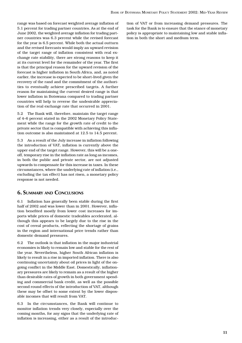range was based on forecast weighted average inflation of 5.1 percent for trading partner countries. As at the end of June 2002, the weighted average inflation for trading partner countries was 6.3 percent while the revised forecast for the year is 6.5 percent. While both the actual outturn and the revised forecasts would imply an upward revision of the target range of inflation consistent with real exchange rate stability, there are strong reasons to keep it at its current level for the remainder of the year. The first is that the principal reason for the upward revision of the forecast is higher inflation in South Africa, and, as noted earlier, the increase is expected to be short-lived given the recovery of the rand and the commitment of the authorities to eventually achieve prescribed targets. A further reason for maintaining the current desired range is that lower inflation in Botswana compared to trading partner countries will help to reverse the undesirable appreciation of the real exchange rate that occurred in 2001.

5.2 The Bank will, therefore, maintain the target range of 4–6 percent stated in the 2002 Monetary Policy Statement while the range for the growth rate of credit to the private sector that is compatible with achieving this inflation outcome is also maintained at 12.5 to 14.5 percent.

5.3 As a result of the July increase in inflation following the introduction of VAT, inflation is currently above the upper end of the target range. However, this will be a oneoff, temporary rise in the inflation rate as long as incomes, in both the public and private sector, are not adjusted upwards to compensate for this increase in taxes. In these circumstances, where the underlying rate of inflation (i.e., excluding the tax effect) has not risen, a monetary policy response is not needed.

### **6. SUMMARY AND CONCLUSIONS**

6.1 Inflation has generally been stable during the first half of 2002 and was lower than in 2001. However, inflation benefited mostly from lower cost increases for imports while prices of domestic tradeables accelerated, although this appears to be largely due to the rise in the cost of cereal products, reflecting the shortage of grains in the region and international price trends rather than domestic demand pressures.

6.2 The outlook is that inflation in the major industrial economies is likely to remain low and stable for the rest of the year. Nevertheless, higher South African inflation is likely to result in a rise in imported inflation. There is also continuing uncertainty about oil prices in light of the ongoing conflict in the Middle East. Domestically, inflationary pressures are likely to remain as a result of the higher than desirable rates of growth in both government spending and commercial bank credit, as well as the possible second round effects of the introduction of VAT, although these may be offset to some extent by the lower disposable incomes that will result from VAT.

6.3 In the circumstances, the Bank will continue to monitor inflation trends very closely, especially over the coming months, for any signs that the underlying rate of inflation is increasing, either as a result of the introduction of VAT or from increasing demand pressures. The task for the Bank is to ensure that the stance of monetary policy is appropriate to maintaining low and stable inflation in both the short and medium term.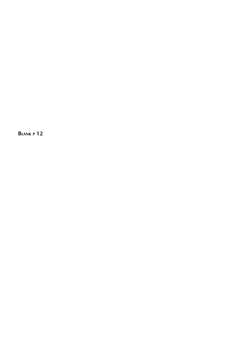**BLANK <sup>P</sup> 12**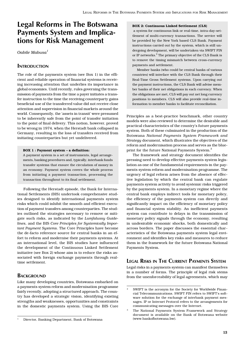# **Legal Reforms in The Botswana Payments System and Implications for Risk Management**

*Oabile Mabusa<sup>1</sup>*

### **INTRODUCTION**

The role of the payments system (see Box 1) in the efficient and reliable operation of financial systems is receiving increasing attention that underlies its importance in global economies. Until recently, rules governing the transmission of payments from the time a payer initiates a transfer instruction to the time the receiving counterparty gains beneficial use of the transferred value did not receive close attention and supervision in financial markets around the world. Consequently, the 'assets in transit' were presumed to be inherently safe from the point of transfer initiation to the point of final delivery. This notion, however, proved to be wrong in 1974, when the Herstadt bank collapsed in Germany, resulting in the loss of transfers received from initiating counterparties but yet undelivered.

#### BOX 1 : Payment system – a definition:

A payment system is a set of instruments, legal arrangements, banking procedures and, typically, interbank funds transfer systems that ensure the circulation of money in an economy. Payment system covers the whole process from initiating a payment transaction, processing the transaction throughout to its final settlement.

Following the Herstadt episode, the Bank for International Settlements (BIS) undertook comprehensive studies designed to identify international payments system risks which could inhibit the smooth and efficient execution of payment transfers among counterparties. The studies outlined the strategies necessary to remove or mitigate such risks, as indicated by the *Lumfalussy Guidelines,* and the BIS *Core Principles for Systemically Important Payment Systems.* The Core Principles have become the de-facto reference source for central banks in an effort to reform and modernise their payments systems. At an international level, the BIS studies have influenced the development of the Continuous Linked Settlement initiative (see Box 2) whose aim is to reduce the risks associated with foreign exchange payments through realtime settlement.

### **BACKGROUND**

Like many developing countries, Botswana embarked on a payments system reform and modernisation programme fairly recently, adopting a structured approach. The country has developed a strategic vision, identifying existing strengths and weaknesses, opportunities and constraints in the domestic payments system. Using the BIS Core

#### BOX 2: Continuous Linked Settlement (CLS)

 a system for continuous link or real-time, intra-day-settlement of multi-currency transactions. The service will be provided by the New York based CLS Bank. Payment instructions carried out by the system, which is still undergoing development, will be undertaken via SWIFT FIN or IP networks. $^{2}$  The primary objective of the CLS Bank is to remove the timing mismatch between cross-currency payments and settlement.

Member banks (who could be central banks of various countries) will interface with the CLS Bank through their Real-Time Gross Settlement systems. Upon carrying out the payment instructions, the CLS Bank will advise member banks of their net obligations in each currency. When the obligations are met, CLS will pay out net long currency positions to members. CLS will also provide real-time information to member banks to facilitate reconciliation.

Principles as a best-practice benchmark, other country models were also reviewed to determine the desirable and practical characteristics of the country's future payments system. Both of these culminated in the production of the Botswana *National Payments System Framework and Strategy* document, which illustrates the objectives of the reform and modernisation process and serves as the blueprint for the future National Payments System.<sup>3</sup>

The framework and strategy document identifies the pressing need to develop effective payments system legislation as one of the fundamental requirements in the payments system reform and modernisation programme. The urgency of legal reform arises from the absence of effective legislation by which the central bank can regulate payments system activity to avoid systemic risks triggered by the payments system. In a monetary regime where the central bank employs indirect tools for monetary policy, the efficiency of the payments system can directly and significantly impact on the efficiency of monetary policy and financial system stability. An inefficient payments system can contribute to delays in the transmission of monetary policy signals through the economy, resulting in undesirable economic shocks, both domestically and across borders. The paper discusses the essential characteristics of the Botswana payments system legal environment and identifies key risks and measures to reduce them in the framework for the future Botswana National Payments System.

### **LEGAL RISKS IN THE CURRENT PAYMENTS SYSTEM**

Legal risks in a payments system can manifest themselves in a number of forms. The principle of legal risk stems from the unenforceability of legal agreements, which may

Director, Banking Department, Bank of Botswana

<sup>2</sup> SWIFT is the acronym for the Society for Worldwide Financial Telecommunications. SWIFT FIN refers to SWIFT's software solution for the exchange of interbank payment messages. IP or Internet Protocol refers to the arrangements for communicating messages over the Internet.

The National Payments System Framework and Strategy document is available on the Bank of Botswana website (www.bankofbotswana.bw).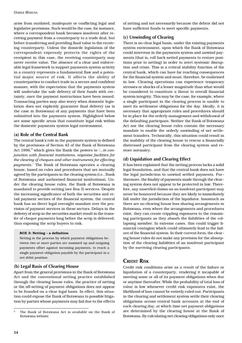arise from outdated, inadequate or conflicting legal and legislative provisions. Such would be the case, for instance, where a correspondent bank becomes insolvent after receiving payment from a counterparty to a trade deal, but before transferring and providing final value to the receiving counterparty. Unless the domicile legislation of the correspondent expressly protects the rights of the receipient in this case, the receiving counterparty may never receive value. The absence of a clear and enforceable legal framework to support payments system activity in a country represents a fundamental flaw and a potential major source of risk. It affects the ability of counterparties to conduct trade in a secure and confident manner, with the expectation that the payments system will undertake the safe delivery of their funds with certainty, once the payment instructions have been issued. Transacting parties may also worry when domestic legislation does not explicitly guarantee final delivery (as is the case in Botswana) of any payments that have been submitted into the payments system. Highlighted below are some specific areas that constitute legal risk within the domestic payments system legal environment.

### **(a) Role of the Central Bank**

The central bank's role in the payments system is defined by the provisions of Section 42 of the Bank of Botswana Act 1996,<sup>4</sup> which gives the Bank the powers to '…*in conjunction with financial institutions, organise facilities for the clearing of cheques and other instruments for effecting payments.'* The Bank of Botswana operates a clearing house, based on rules and procedures that are mutually agreed by the participants in the clearing system (i.e., Bank of Botswana and authorised financial institutions). Under the clearing house rules, the Bank of Botswana is mandated to provide netting (see Box 3) services. Despite the increasing significance of both the securities and retail payment sectors of the financial system, the central bank has no direct legal oversight mandate over the provision of payment services in these sectors. Delays in the delivery of scrip in the securities market result in the transfer of cheque payments long before the scrip is delivered, thus exposing the scrip buyers to risk.

#### BOX 3: Netting – a definition

Netting is the process by which payment obligations between two or more parties are summed up and outgoing payments offset against incoming payments, to reach a single payment obligation payable by the participant in a net debit position.

### **(b) Legal Basis of Clearing House**

Apart from the general provisions in the Bank of Botswana Act and the conventional netting practice established through the clearing house rules, the practice of netting or the off-setting of payment obligations does not appear to be founded on a clear legal basis. In effect, this situation could expose the Bank of Botswana to possible litigation by parties whose payments may fail due to the effects

of netting and not necessarily because the debtor did not have sufficient funds to meet specific payments.

### **(c) Unwinding of Clearing**

There is no clear legal basis, under the existing payments system environment, upon which the Bank of Botswana could intervene in the payments system and unwind payments (that is, roll back netted payments to restore positions prior to netting) in order to avert systemic disruption and crisis. This is a critical stability function of the central bank, which can have far reaching consequences for the financial system and must, therefore, be enshrined in law. Clearing operations can experience temporary stresses or shocks of a lesser magnitude than what would be considered to constitute a threat to overall financial system integrity. This may be the case, for example, where a single participant in the clearing process is unable to meet its settlement obligations for the day. Ideally, it is necessary that appropriate rules and procedures should be in place for the orderly management and withdrawal of the defaulting participant. Neither the Bank of Botswana Act nor the clearing house rules contain the necessary mandate to enable the orderly unwinding of net settlement transfers. Technically, this situation could result in the inability of the clearing house to rescue a financially distressed participant from the clearing system and restore normalcy.

### **(d) Liquidation and Clearing Effect**

It has been explained that the netting process lacks a solid legal foundation, and that the central bank does not have the legal jurisdiction to unwind settled payments. Furthermore, the finality of payments made through the clearing system does not appear to be protected in law. Therefore, any unsettled claims on an insolvent participant may never be honoured because they are likely to immediately fall under the jurisdiction of the liquidator. Insomuch as there are no clearing house loss sharing arrangements in Botswana, even where the arrangements and procedures exist, they can create crippling exposures to the remaining participants as they absorb the liabilities of the collapsing member. In extreme cases, this could trigger financial contagion which could ultimately lead to the failure of the financial system. In their current form, the clearing house rules do not make any provision for the absorption of the clearing liabilities of an insolvent participant by the surviving clearing participants.

### **CREDIT RISK**

Credit risk conditions arise as a result of the failure or liquidation of a counterparty, rendering it incapable of meeting some or all of its payment obligations when due or anytime thereafter. While the probability of total loss of value is low whenever credit risk exposures exist, the likelihood of loss cannot be entirely ruled out. Participants in the clearing and settlement system settle their clearing obligations across central bank accounts at the end of each clearing day, at which time net payment obligations are determined by the clearing house at the Bank of Botswana. By calculating net clearing obligations only once

The Bank of Botswana Act is available on the Bank of Botswana website.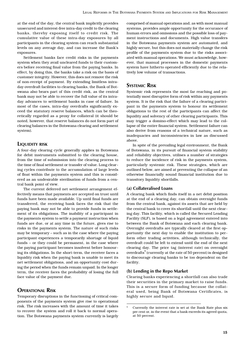at the end of the day, the central bank implicitly provides unsecured and interest-free intra-day credit to the clearing banks, thereby exposing itself to credit risk. The cumulative value of these intra-day exposures by all participants in the clearing system can reach substantial levels on any average day, and can increase the Bank's exposures.

Settlement banks face credit risks in the payments system when they avail uncleared funds to their customers before receiving final value from the paying banks. In effect, by doing this, the banks take a risk on the basis of customer integrity. However, this does not remove the risk of non-receipt of payment. By extending limitless intraday overdraft facilities to clearing banks, the Bank of Botswana also bears part of this credit risk, as the central bank may not be able to recover the full value of its intraday advances to settlement banks in case of failure. In most of the cases, intra-day overdrafts significantly exceed the statutory reserve balances, which can be theoretically regarded as a proxy for collateral (it should be noted, however, that reserve balances do not form part of clearing balances in the Botswana clearing and settlement system).

#### **LIQUIDITY RISK**

A four-day clearing cycle generally applies in Botswana for debit instruments submitted to the clearing house, from the time of submission into the clearing process to the time of final settlement or transfer of value. Long clearing cycles contribute to the accumulation of large levels of float within the payments system and this is considered as an undesirable sterilisation of funds from a central bank point of view.

The current deferred net settlement arrangement effectively means that payments are accepted on trust until funds have been made available. Up until final funds are transferred, the receiving bank faces the risk that the paying bank may not be able to provide funds in settlement of its obligations. The inability of a participant in the payments system to settle a payment instruction when funds are due, or at any time in the future, gives rise to risks in the payments system. The nature of such risks may be temporary – such as in the case where the paying participant experiences a temporarily shortage of liquid funds – or they could be permanent, in the case where the paying participant becomes insolvent before honouring its obligations. In the short-term, the receiver faces a liquidity risk when the paying bank is unable to meet its net settlement obligations, and an opportunity cost during the period when the funds remain unpaid. In the longer term, the receiver faces the probability of losing the full face value of the payment due.

### **OPERATIONAL RISK**

Temporary disruptions in the functioning of critical components of the payments system give rise to operational risk. The risk increases with the amount of time it takes to recover the system and roll it back to normal operation. The Botswana payments system currently is largely

comprised of manual operations and, as with most manual systems, provides ample opportunity for the occurance of human errors and omissions and the possible loss of payment instructions and documents. High value transfers in the Botswana payments system are automated, and highly secure, but this does not materially change the risk profile of the payments system due to the risks associated with manual operations. We must acknowledge, however, that manual processes in the domestic payments system have hitherto operated efficiently due to the relatively low volume of transactions.

### **SYSTEMIC RISK**

Systemic risk represents the most far reaching and potentially most disruptive form of risk within any payments system. It is the risk that the failure of a clearing participant in the payments system to honour its settlement obligations to the rest of the participants can affect the liquidity and solvency of other clearing participants. This may trigger a domino-effect which may lead to the collapse of the entire financial system. Settlement failure can also derive from reasons of a technical nature, such as inadequacies and inconsistencies in law as discussed above.

In spite of the prevailing legal environment, the Bank of Botswana, in its pursuit of financial system stability and reliability objectives, utilises a number of strategies to reduce the incidence of risk in the payments system, particularly systemic risk. These strategies, which are outlined below, are aimed at preventing the collapse of an otherwise financially sound financial institution due to transitory liquidity shortfalls.

#### **(a) Collateralised Loans**

A clearing bank which finds itself in a net debit position at the end of a clearing day, can obtain overnight funds from the central bank, against its assets that are held by the central bank to cover its shortfall until the next clearing day. This facility, which is called the Secured Lending Facility (SLF), is based on a legal agreement entered into between the Bank of Botswana and each clearing bank. Overnight overdrafts are typically cleared at the first opportunity the next day to enable the institution to perform other trading activities, although technically, the overdraft could be left to extend until the end of the next clearing day. The price tag (interest rate) on overnight overdrafts $^5$  (currently at the rate of 50 percent) is designed to discourage clearing banks to be too dependent on the facility.

### **(b) Lending in the Repo Market**

Clearing banks experiencing a shortfall can also trade their securities in the primary market to raise funds. This is a secure form of funding because the collateral used, being Bank of Botswana Certificates, is highly secure and liquid.

<sup>5</sup> Currently the interest rate is set at the Bank Rate plus six per cent or, in the event that a bank exceeds its agreed quota, at 50 percent.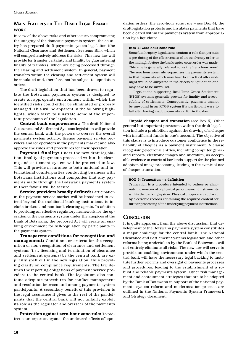### **MAIN FEATURES OF THE DRAFT LEGAL FRAME-WORK**

In view of the above risks and other issues compromising the integrity of the domestic payments system, the country has prepared draft payments system legislation (the National Clearance and Settlement Systems Bill), which will comprehensively address the risks. This new law will provide for transfer certainty and finality by guaranteeing finality of transfers, which are being processed through the clearing and settlement system. In general, payment transfers within the clearing and settlement system will be insulated and, therefore, not be subject to liquidation orders.

The draft legislation that has been drawn to regulate the Botswana payments system is designed to create an appropriate environment within which the identified risks could either be eliminated or properly managed. This will be apparent in the following highlights, which serve to illustrate some of the important provisions of the legislation.

Central bank empowerment: The draft National Clearance and Settlement Systems legislation will provide the central bank with the powers to oversee the overall payments system activity, license payment service providers and/or operators in the payments market and also approve the rules and procedures for their operation.

Payment finality: Under the new draft legislation, finality of payments processed within the clearing and settlement system will be protected in law. This will provide assurance to both national and international counterparties conducting business with Botswana institutions and companies that any payments made through the Botswana payments system in their favour will be secure.

Service providers broadly defined: Participation in the payment service market will be broadened to extend beyond the traditional banking institutions, to include brokers and non-bank clearing agents. In addition to providing an effective regulatory framework for the operation of the payments system under the auspices of the Bank of Botswana, the proposed Act will create an enabling environment for self-regulation by participants in the payments system.

Transparent conditions for recognition and management: Conditions or criteria for the recognition or non-recognition of clearance and settlement systems (i.e., licensing and termination of clearance and settlement systems) by the central bank are explicitly spelt out in the new legislation, thus providing clarity on compliance requirements. The law defines the reporting obligations of payment service providers to the central bank. The legislation also contains adequate procedures for conflict management and resolution between and among payments system participants. A secondary benefit of this provision is the legal assurance it gives to the rest of the participants that the central bank will not unfairly exploit its role as the regulator and overseer of the payments system.

Protection against zero-hour zone rule: To protect counterparties against the undesired effects of liquidation orders (the zero-hour zone rule – see Box 4), the draft legislation protects and insulates payments that have been cleared within the payments system from appropriation by a liquidator.

#### BOX 4: Zero hour zone rule

Some bankruptcy legislations contain a rule that permits a pre-dating of the effectiveness of an insolvency order to the midnight before the bankruptcy court order was made. This rule is generally referred to as the 'zero hour zone'. The zero hour zone rule jeopardises the payments system in that payments which may have been settled after midnight would be subjected to the effects of liquidation and may have to be unwound.

Legislations supporting Real Time Gross Settlement (RTGS) systems generally provide for finality and irrevocability of settlements. Consequently, payments cannot be unwound in an RTGS system if a participant were to fail after having made payments earlier in the day.

Unpaid cheques and truncation (see Box 5): Other general but important provisions within the draft legislation include a prohibition against the drawing of a cheque with insufficient funds in one's account. The objective of this clause is to introduce customer confidence in the reliability of cheques as a payment instrument. A clause recognising electronic entries, including computer generated reports, electronic images and microfilm, as acceptable evidence in courts of law lends support for the planned adoption of image processing, leading to the eventual use of cheque truncation.

#### BOX 5: Truncation – a definition

Truncation is a procedure intended to reduce or eliminate the movement of physical paper payment instruments within the banking system. Physical cheques are replaced by electronic records containing the required content for further processing of the underlying payment instructions.

### **CONCLUSION**

It is quite apparent, from the above discussion, that development of the Botswana payments system constitutes a major challenge for the central bank. The National Clearance and Settlement Systems legislation and other reforms being undertaken by the Bank of Botswana, will not entirely eliminate all risks. The new law will serve to provide an enabling environment under which the central bank will have the necessary legal backing to institute further reforms and oversight of payments processes and procedures, leading to the establishment of a robust and reliable payments system. Other risk management and containment strategies that are to be adopted by the Bank of Botswana in support of the national payments system reform and modernisation process are outlined in the National Payments System Framework and Strategy document.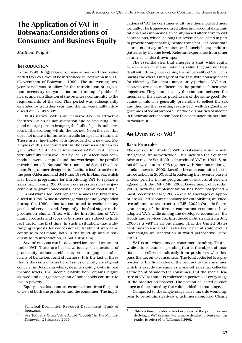# **The Application of VAT in Botswana:Considerations of Consumer and Business Equity**

*Matthew Wright<sup>1</sup>*

#### **INTRODUCTION**

In the 1999 Budget Speech it was announced that value added tax (VAT) would be introduced in Botswana in 2001 (Government of Botswana, 1999). The intervening twoyear period was to allow for the introduction of legislation, necessary reorganisation and training of public officers, and sensitisation of the business community to the requirements of the tax. This period was subsequently extended by a further year, and the tax was finally introduced on 1 July 2002.

By its nature VAT is an inclusive tax. Its attractive features – such as non-distortion and self-policing – depend in large part on bringing the bulk of goods and services in the economy within the tax net. Nevertheless, this does not make it immune from calls for special treatment. These arise, inevitably, with the advent of a new tax. Examples of this are found within the Southern African region. When South Africa introduced VAT in 1991 it was virtually fully inclusive. But by 1993 nineteen food commodities were exempted; and this was despite the parallel introduction of a National Nutritional and Social Development Programmer designed to facilitate food transfers to the poor (Alderman and del Nino, 1999). In Namibia, which also had a programme for introducing VAT to replace a sales tax, in early 2000 there were pressures on the government to grant concessions, especially on foodstuffs. $^{2}$ 

In Botswana too, VAT replaced a sales tax, first introduced in 1989. While its coverage was gradually expanded during the 1990s, this tax continued to exclude many goods and services and, frequently, the final stages in the production chain. Thus, with the introduction of VAT, many products and types of business are subject to indirect tax for the first time. In such a situation, that wideranging requests for concessionary treatment were (and continue to be) made, both in the build up and subsequent to its introduction, is not surprising.

Several reasons can be advanced for special treatment under VAT. These are based, variously, on questions of practicality, economic efficiency, encouraging 'desirable' forms of behaviour, and of fairness. It is the last of these that is the central focus here. Issues of equity are of great concern in Botswana where, despite rapid growth in real income levels, the income distribution remains highly skewed and a large proportion of households continue to live in poverty.

Equity considerations are examined here from the point of view of both the producer and the consumer. The implications of VAT for consumer equity are then modelled more formally. The framework used takes into account data limitations and emphasises an equity-based alternative to VAT concessions, which is using the revenues collected in part to provide compensating income transfers. The basic data source is survey information on household expenditure patterns by income level. Relevant experience from other countries is also drawn upon.

The essential view that emerges is that, while equity concerns are in many instances valid, they are not best dealt with through weakening the universality of VAT. This harms the overall integrity of the tax, with consequences for efficiency. But, more importantly perhaps, VAT concessions are also inefficient in the pursuit of their own objectives. They cannot easily discriminate between the incomes of the various purchasers of the same good. Because of this it is generally preferable to collect the tax and then use the resulting revenue for well-designed programmes of social support. The wide disparities of income in Botswana serve to reinforce this conclusion rather than to weaken it.

### **AN OVERVIEW OF VAT<sup>3</sup>**

### **Basic Principles**

The decision to introduce VAT in Botswana is in line with the general trend worldwide. This includes the Southern African region: South Africa introduced VAT in 1991, Zambia followed suit in 1995 together with Namibia making a similar move in 2000. Lesotho became committed to its introduction in 2000, and broadening the revenue base is a clear priority in the programme of structural reforms agreed with the IMF (IMF, 2000; Government of Lesotho, 2000); however, implementation has been postponed – most recently to early 2003 – due to shortages of appropriate skilled labour necessary for establishing an effective administrative structure (IMF, 2002). Outside the region, many of the former communist economies have adopted VAT; while among the developed economies, the Goods and Services Tax introduced in Australia from July 2000 is a VAT in all but name. That the United States continues to use a retail sales tax, levied at state level, is increasingly an 'aberration in world perspective' (Bird, 1999).

VAT is an *indirect* tax on consumer spending. That is, while it is consumer spending that is the object of taxation, it is collected indirectly from producers who then pass the tax on to consumers. The total collected is a proportion of the final value of the product to the consumer, which is exactly the same as a one-off sales tax collected at the point of sale to the consumer. But the special feature of VAT is that it is collected in portions at every stage in the production process. The portion collected at each stage is determined by the value added at that stage.

Compared to the single-stage sales tax this would appear to be administratively much more complex. Clearly

<sup>1</sup> Principal Economist, Research Department, Bank of Botswana.

<sup>2</sup> See 'Industry Cries: Value Added 'Trouble'' in *The Namibia Economist: 28 January 2000.*

<sup>3</sup> This section provides a brief overview of the principles underlying a VAT system. For a more detailed discussion, the reader is referred to Williams (1996).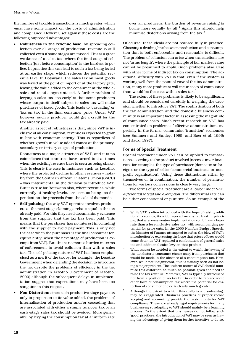the number of taxable transactions is much greater, which *must* have some impact on the costs of administration and compliance. However, set against these costs are the following supposed advantages:

Robustness in the revenue base: by spreading collection over all stages of production, revenue is still collected even if some stages are missed. This is a great weakness of a sales tax, where the final stage of collection (just before consumption) is the hardest to police. In practice this can lead to such a tax being levied at an earlier stage, which reduces the potential revenue take. In Botswana, the sales tax on most goods was levied at the point of import or at the factory gate, leaving the value added to the consumer at the wholesale and retail stages untaxed. A further problem of levying a sales tax 'too early' is that some producers whose output is itself subject to sales tax will make purchases of taxed goods. This leads to 'cascading' or 'tax on tax' in the final consumer price. Under VAT however, such a producer would get a credit for the tax already paid.

Another aspect of robustness is that, since VAT is inclusive of all consumption, revenue is expected to grow in line with economic activity. This is regardless of whether growth in value added comes at the primary, secondary or tertiary stages of production.

Robustness is a major attraction of VAT, and it is no coincidence that countries have turned to it at times when the existing revenue base is seen as being shaky. This is clearly the case in instances such as Lesotho, where the projected decline in other revenues – notably from the Southern African Customs Union (SACU) – was instrumental in the decision to introduce VAT. But it is true for Botswana also, where revenues, while currently at healthy levels, are seen as being too dependent on the proceeds from the sale of diamonds.

- Self-policing: the way VAT operates involves producers at the next stage claiming a rebate equal to the tax already paid. For this they need documentary evidence from the supplier that the tax has been paid. This means that the purchaser has no interest in colluding with the supplier to avoid payment. This is only not the case when the purchaser is the final consumer (or, equivalently, when the next stage of production is exempt from VAT). But this is no more a burden in terms of enforcement to avoid collusion than with a sales tax. The self-policing nature of VAT has been emphasised as a merit of the tax by, for example, the Lesotho Government when defending the decision to introduce the tax despite the problems of efficiency in the tax administration in Lesotho (Government of Lesotho, 2000) although the subsequent delays in implementation suggest that expectations may have been too sanguine in this respect.
- Non-Distortion: since each productive stage pays tax only in proportion to its value added, the problems of internalisation of production and/or cascading that are associated with either a simple turnover tax or an early-stage sales tax should be avoided. More generally, by levying the consumption tax at a uniform rate

over all producers, the burden of revenue raising is borne more equally by all. $^4$  Again this should help minimise distortions arising from the tax.<sup>5</sup>

Of course, these ideals are not realised fully in practice. Choosing a dividing line between production and consumption that is both enforceable and reasonable is difficult. The problem of collusion can arise when transactions are not 'arms length', where the principle of fair market value cannot be presumed to apply. Such problems also arise with other forms of indirect tax on consumption. The additional difficulty with VAT is that, even if the system is working well from the point of view of the tax administration, many more producers will incur costs of compliance than would be the case with a sales tax. $^6$ 

The extent of these problems is likely to be significant, and should be considered carefully in weighing the decision whether to introduce VAT. The sophistication of both the tax administration and the domestic business community is an important factor in assessing the magnitude of compliance costs. Much recent research on VAT has concentrated on problems of effective administration, especially in the former communist 'transition' economies (see Summers and Sunley, 1995; and Baer et al, 1996; and Jack, 1997).

### **Forms of Special Treatment**

Special treatment under VAT can be applied to transactions according to the product involved (necessities or luxuries, for example), the type of purchaser (domestic or foreign), or the type of seller (commercial business or nonprofit organisation). Using these distinctions either by themselves or in combination, the number of permutations for various concessions is clearly very large.

Two forms of special treatment are allowed under VAT: *differential rate(s)* and *exemption*. The differential rate can be either concessional or punitive. As an example of the

Although the extent to which this really is a disadvantage may be exaggerated. Business practices of proper record keeping and accounting provide the basic inputs for VAT compliance. These are already legal requirements for many businesses; so adapting to VAT should mainly be a learning process. To the extent that businesses do not follow such 'good' practices, the introduction of VAT may be seen as having the advantage of giving them further incentive to do so.

<sup>4</sup> While VAT is often introduced with the hope of raising additional revenues, its wider spread means, at least in principle, that a *revenue neutral* implementation could have a lower rate than a less-inclusive sales tax, with accompanying potential for price cuts. In the 2000 Namibia Budget Speech, the Minister of Finance attempted to soften the blow of VAT's introduction by expressing the hope that prices of beer would come *down* as VAT replaced a combination of general sales tax and additional sales levy on that product.

<sup>5</sup> What *cannot* be avoided is the extent to which the levying of the tax distorts consumer choice away from purchases that would be made in the absence of a consumption tax. However, while not insignificant, this is usually seen as not being a major problem. The uniform nature of VAT should minimise this distortion as much as possible given the need to raise the tax revenue. Moreover, VAT is typically introduced not from a position of no tax but in order to replace some other form of consumption tax where the potential for distortion of consumer choice is clearly much greater.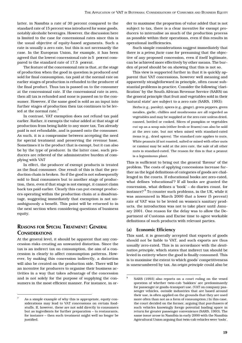latter, in Namibia a rate of 30 percent compared to the standard rate of 15 percent was introduced for some goods, notably alcoholic beverages. However, the discussion here is limited to the case for concessional rates since this is the usual objective of equity-based arguments. Such a rate is usually a zero rate, but this is not necessarily the case. In the European Union, for example, it has been agreed that the lowest concessional rate is 5 percent compared to the standard rate of 17.5 percent.

The feature of the concessional rate is that, at the stage of production when the good in question is produced *and* sold for final consumption, tax paid at the normal rate on earlier stages of production is refunded to the producer of the final product. Thus tax is passed on to the consumer at the concessional rate. If the concessional rate is zero, then all tax is refunded and none is passed on to the consumer. However, if the same good is sold as an input into further stages of production then tax continues to be levied at the normal rate.<sup>7</sup>

In contrast, VAT exemption does not refund tax paid earlier. Rather, it exempts the value added at that stage of production from being liable to any more tax. Tax already paid is not refundable, and is passed onto the consumer. As such, it is a compromise between accepting the need for special treatment and preserving the revenue base. Sometimes it is the product that is exempt, but it can also be by the type of producer. In the latter case, such producers are relieved of the administrative burden of complying with VAT

In effect, the producer of exempt products is treated as the final consumer. One result of this is that the production chain is broken. So if the good is not subsequently sold to final consumers but to another stage of production, then, even if that stage is not exempt, it cannot claim back tax paid earlier. Clearly this can put exempt producers operating within the production chain at a disadvantage, suggesting immediately that exemption is not unambiguously a benefit. This point will be returned to in the next section when considering questions of business equity.

### **REASONS FOR SPECIAL TREATMENT: GENERAL CONSIDERATIONS**

At the general level, it should be apparent that any concession risks creating an unwanted distortion. Since the tax is an indirect tax on consumption, the aim of a concession is clearly to affect consumption patterns. However, by making this concession indirectly, a distortion will also be created on the production side. There will be an incentive for producers to organise their business activities in a way that takes advantage of the concession and is not solely for the purpose of supplying the consumers in the most efficient manner. For instance, in order to maximise the proportion of value added that is not subject to tax, there is a clear incentive for exempt producers to internalise as much of the production process as possible within their operations, even if this results in operational inefficiencies.

Such simple considerations suggest immediately that there is a *prima facie* case for presuming that the objective of any proposed concession, even if itself legitimate, can be achieved more effectively by other means. The burden of proof should be on showing that this is not so.

This view is supported further in that it is quickly apparent that VAT concessions, however well meaning and apparently straightforward in principle, often cause substantial problems in practice. Consider the following 'clarification' by the South African Revenue Service (SARS) on the general principle that fruit and vegetables sold in their 'natural state' are subject to a zero rate (SARS, 1993):

Herbs (e.g., parsley), spices (e.g., ginger), green peppers, green mealies, garlic, chillies and mushrooms are all regarded as vegetables and may be supplied at the zero rate unless dried, canned, bottled or cooked. Slices of pumpkin or vegetables cut up as a soup mix (either fresh or frozen) can also be sold at the zero rate, but not when mixed with standard-rated items (e.g., dried spices). The standard rate applies to nuts. White peanuts (if not roasted, salted or mixed with other nuts or raisins) may be sold at the zero rate, the sale of all other nuts is standard-rated. The reason for this is that a peanut is a leguminous plant.

This is sufficient to bring out the general 'flavour' of the problem. The costs of applying concessions increase further as the legal definitions of categories of goods are challenged in the courts. If educational books are zero-rated, what defines 'educational'? If all books are granted the concession, what defines a 'book' – do diaries count, for instance?  $^8$  To counter such problems, in the UK, while it was announced in March 2000 that a lower (5 percent) rate of VAT was to be levied on women's sanitary products, the introduction was not to take place until January 2001. One reason for the delay was to allow the Department of Customs and Excise time to agree workable definitions of such products with relevant parties.

### **(a) Economic Efficiency**

This said, it is generally accepted that exports of goods should not be liable to VAT, and such exports are thus usually zero-rated. This is in accordance with the *destination principle*, which states that indirect tax should be levied in entirety where the good is finally consumed. This is to maximise the extent to which goods' competitiveness is unencumbered by tax. An *origin principle* could also be

As a simple example of why this is appropriate, equity considerations may lead to VAT concessions on certain foodstuffs. If, however, these are not sold directly to consumers but as ingredients for further preparation – to restaurants, for instance – then such treatment might well no longer be justified.

<sup>8</sup> SARS (1993) also reports on a court ruling on the vexed question of whether twin-cab 'bakkies' are predominantly for passenger or goods-transport use. (VAT on company passenger vehicles, outside industries that are based around their use, is often applied on the grounds that they are used more often than not as a form of consumption.) In this case, the court decided on the former, arguing that purchasers of such vehicles knowingly forego potential loading space in return for greater passenger convenience (SARS, 1993). The same issue arose in Namibia in early 2000 with the Namibia Agricultural Union arguing that twin-cab vehicles were 'tools'.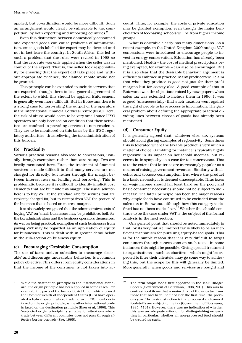applied, but co-ordination would be more difficult. Such an arrangement would clearly be vulnerable to 'tax competition' by both exporting and importing countries.<sup>9</sup>

Even this distinction between domestically consumed and exported goods can cause problems of administration, since goods labelled for export may be diverted and not in fact leave the country. In South Africa, this led to such a problem that the rules were revised in 1998 so that the zero rate was only applied when the seller was in control of the export. That is, the seller took responsibility for ensuring that the export did take place and, without appropriate evidence, the claimed rebate would not be granted.

This principle can be extended to include services that are exported, though there is less general agreement of the extent to which this should be applied. Enforcement is generally even more difficult. But in Botswana there is a strong case for zero-rating the output of the operators in the International Financial Services Centre (IFSC). Here, the risk of abuse would seem to be very small since IFSC operators are only licensed on condition that their activities are confined to providing services to non-residents. They are to be monitored on this basis by the IFSC regulatory authorities, thus relieving the tax administration of this burden.

### **(b) Practicality**

Various practical reasons also lead to concessions, usually through exemption rather than zero rating. Two are briefly mentioned here. First, the treatment of financial services is made difficult in that many services are not charged for directly, but rather through the margin between interest rates on lending and borrowing. This is problematic because it is difficult to identify implicit cost elements that are built into this margin. The usual solution here is to levy VAT at the standard rate for services that are explicitly charged for, but to exempt from VAT the portion of the business that is based on interest margins.

It is also widely recognised that the administrative costs of levying VAT on 'small' businesses may be prohibitive, both for the tax administrators and the business operators themselves. As well as being practical, exemption of such businesses from paying VAT may be regarded as an application of equity for businesses. This is dealt with in greater detail below in the sub-section on business equity.

### **(c) Encouraging 'Desirable' Consumption**

The use of taxes and/or subsidies to encourage 'desirable' and discourage 'undesirable' behaviour is a common policy objective. This differs from equity considerations in that the income of the consumer is not taken into account. Thus, for example, the costs of private education may be granted exemption, even though the major beneficiaries of fee-paying schools will be from higher income groups.

What is desirable clearly has many dimensions. As a recent example, in the United Kingdom 2000 budget VAT concessions were introduced to encourage people to invest in energy conservation. Education has already been mentioned. Health – the cost of medical prescriptions being exempted, for example – can also be encouraged. But it is also clear that the desirable behaviour argument is difficult to embrace in practice. Many producers will claim that what they produce is good not just for their profit margins but for society also. A good example of this in Botswana was the objections raised by newspapers when sales tax was extended to include them in 1996. It was argued (unsuccessfully) that such taxation went against the right of people to have access to information. The general problem about defining the appropriate practical dividing lines between classes of goods has already been mentioned.

#### **(d) Consumer Equity**

It is generally agreed that, whatever else, tax systems should avoid glaring examples of regressivity. Sometimes this is tolerated where the taxable product is very much a matter of choice. Gambling for instance is typically highly regressive in its impact on household incomes, but receives little sympathy as a case for tax concessions. This is to the extent that lotteries are increasingly popular as a means of raising government revenues. Similarly with alcohol and tobacco consumption. But where the product is a basic necessity it is deemed unacceptable. Thus taxes on wage income should fall least hard on the poor, and basic consumer necessities should not be subject to indirect tax. The latter principle has been the major reasons why staple foods have continued to be excluded from the sales tax in Botswana, although how this category is defined has not been made clear.<sup>10</sup> Whether this should continue to be the case under VAT is the subject of the formal analysis in the next section.

One general point that should be noted immediately is that, by its very nature, indirect tax is likely to be an inefficient mechanism for pursuing equity-based goals. This is for the simple reason that it is very difficult to target consumers through concessions on such taxes. In some instances this might be possible. Giving special treatment to organisations – such as charities – which might be expected to filter their clientele, may go some way to achieving this, but the scope for this will generally be limited. More generally, when goods and services are bought and

While the destination principle is the international standard, the origin principle has been applied in some cases. For example, the parts of the former Soviet Union which formed the Commonwealth of Independent States (CIS) have operated a hybrid system where trade between CIS members is taxed on the origin principle, while other international trade is taxed on the destination principle (Baer *et al*, 1996). This 'restricted origin principle' is suitable for situations where trade between different countries does not pass through effective border controls (Zee, 1995).

<sup>&</sup>lt;sup>10</sup> The term 'staple foods' first appeared in the 1996 Budget Speech (Government of Botswana, 1996, ¶91). This was to contrast food items that remained free of the sales tax from those that had been included (for the first time) the previous year. The basic distinction is that processed and canned foodstuffs are subject to the tax (Government of Botswana, 1995, ¶131). However, there was no indication of whether this was an adequate criterion for distinguishing necessities; in particular, whether all non-processed food should be treated as such.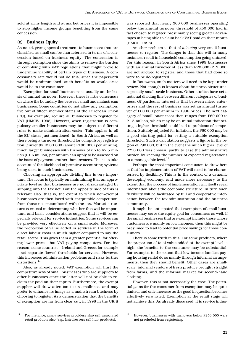sold at arms length and at market prices it is impossible to stop higher income groups benefiting from the same concession.

### **(e) Business Equity**

As noted, giving special treatment to businesses that are classified as small can be characterised in terms of a concession based on business equity. The concession is through exemption since the aim is to remove the burden of complying with VAT regulations that might prove to undermine viability of certain types of business. A concessionary rate would not do this, since the paperwork would be undiminished; such benefits as would arise would be to the consumer.

Exemption for small businesses is usually on the basis of annual turnover. However, there is little consensus on where the boundary lies between small and mainstream businesses. Some countries do not allow any exemption: five out of fifteen member states of the European Union (EU), for example, require all businesses to register for VAT (HMCE, 1998). However, when registration is compulsory smaller businesses may be subject to different rules to make administration easier. This applies in all the EU states just mentioned. In South Africa, as well as there being a turnover threshold for compulsory registration (currently R300 000 (about P190 000) per annum), much larger businesses with turnover of up to R2.5 million (P1.6 million) per annum can apply to be assessed on the basis of payments rather than invoices. This is to take account of the likelihood of primitive accounting systems being used in such businesses.

Choosing an appropriate dividing line is very important. The focus is typically on maintaining it at an appropriate level so that businesses are not disadvantaged by slipping into the tax net. But the opposite side of this is relevant also: that is, the extent to which non-exempt businesses are then faced with 'inequitable competition' from those not encumbered with the tax. Market structure is crucial in determining whether this will be important, and basic considerations suggest that it will be especially relevant for service industries. Some services can be provided very effectively on a small scale. Moreover, the proportion of value added in services in the form of direct labour costs is much higher compared to say the retail sector. This gives them a greater potential for offering lower prices that VAT-paying competitors. For this reason, some countries – Ireland and Greece, for example – set separate (lower) thresholds for services. However, this increases administration problems and risks further distortions.<sup>11</sup>

Also, as already noted, VAT exemption will hurt the competitiveness of small businesses who are suppliers to other businesses since the latter will not be able to reclaim tax paid on their inputs. Furthermore, the exempt supplier will draw attention to its smallness, and may prefer to enhance its image as a mainstream business by choosing to register. As a demonstration that the benefits of exemption are far from clear cut, in 1998 in the UK it

was reported that nearly 300 000 businesses operating below the annual turnover threshold of £50 000 had in fact chosen to register, presumably seeing greater advantages in being able to claim back VAT paid on their inputs (HMCE, 1998).

Another problem is that of *allowing* very small businesses to register. The danger is that this will in many instances result in household consumption going untaxed. For this reason, in South Africa since 1999 businesses with an annual turnover of less than R20 000 (P12 000) are not allowed to register, and those that had done so were to be de-registered.

In Botswana, such matters will need to be kept under review. Not enough is known about business structures, especially small-scale business. Other studies have set a notional dividing line between different categories of business. Of particular interest is that between micro enterprises and the rest of business was set an annual turnover of P60 000 per annum in 1996 prices. The next category of 'small' businesses then ranges from P60 000 to P1.5 million, which may be an initial indication that setting a higher threshold could lead to problems of competition. Suitably adjusted for inflation, the P60 000 may be a good starting point for setting a suitable exemption threshold. Such a calculation suggests a figure in the region of P90 000; but in the event the much higher level of P250 000 was chosen, partly to ease the administrative burden by keeping the number of expected registrations to a manageable level.  $^{12}$ 

Perhaps the most important conclusion to draw here is that he implementation of VAT will need to be characterised by flexibility. This is in the context of a dynamic developing economy, and made more necessary to the extent that the process of implementation will itself reveal information about the economic structure. In turn such flexibility will be facilitated by full and cooperative interaction between the tax administration and the business community.

It might be anticipated that exemption of small businesses may serve the equity goal for consumers as well. If the small businesses that are exempt include those whose customers are mainly on low incomes, then this might be presumed to lead to potential price savings for those consumers.

There is some truth in this. For some products, where the proportion of total value added at the exempt level is high, the benefits to the consumer may be substantial. For example, to the extent that low-income families paying housing rental do so mainly through informal arrangements, then they should benefit. Other cases are smallscale, informal vendors of fresh produce brought straight from farms, and the informal market for second-hand clothing.

However, this is not necessarily the case. The potential gains for the consumer from exemption may be quite limited, and only increase as the good in question becomes effectively zero rated. Exemption at the retail stage will not achieve this. As already discussed, it is service indus-

<sup>&</sup>lt;sup>11</sup> For instance, many services providers also sell associated retail products also (e.g., hairdressers sell hair products).

<sup>&</sup>lt;sup>12</sup> However, businesses with turnovers below P250 000 were not precluded from registering.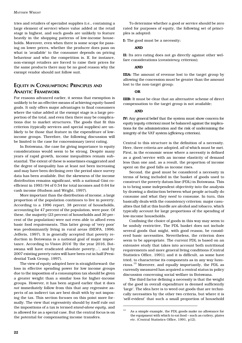tries and retailers of specialist supplies (i.e., containing a large element of service) where value added at the retail stage is highest, and such goods are unlikely to feature heavily in the shopping patterns of low-income households. Moreover, even when there is some scope for passing on lower prices, whether the producer does pass on what is 'available' to the consumer depends on pricing behaviour and who the competition is. If, for instance, non-exempt retailers are forced to raise their prices for the same products there may be no good reason why the exempt vendor should not follow suit.

### **EQUITY IN CONSUMPTION: PRINCIPLES AND ANALYTIC FRAMEWORK**

For reasons advanced earlier, it seems that exemption is unlikely to be an effective means of achieving equity-based goals. It only offers major advantages to final consumers where the value added at the exempt stage is a large proportion of the total, and even then there may be complications due to market structures. The goods that fit this criterion (typically services and special supplies) are unlikely to be those that feature in the expenditure of lowincome groups. Therefore, the following discussion will be limited to the case for concessionary (zero) rating.

In Botswana, the case for giving importance to equity considerations would seem to be strong. Despite many years of rapid growth, income inequalities remain substantial. The extent of these is sometimes exaggerated and the degree of inequality has at least not been increasing and may have been declining over the period since survey data has been available. But the skewness of the income distribution remains significant, with a national Gini coefficient in 1993/94 of 0.54 for total incomes and 0.64 for cash income (Hudson and Wright, 1997).

More important than the distribution of income, a large proportion of the population continues to live in poverty. According to a 1996 report, 38 percent of households, accounting for 47 percent of the population, were poor. Of these, the majority (23 percent of households and 30 percent of the population) were not even able to afford even basic food requirements. This latter group of 'very poor' was predominantly living in rural areas (BIDPA, 1996; Jefferis, 1997). It is generally accepted that poverty reduction in Botswana is a national goal of major importance. According to *Vision 2016* 'By the year 2016, Botswana will have eradicated absolute poverty…', and by 2007 existing poverty rates will have been cut in half (Presidential Task Group, 1997).

The view of equity adopted here is straightforward: the loss in effective spending power for low income groups due to the imposition of a consumption tax should be given a greater weight than a similar loss for higher-income groups. However, it has been argued earlier that it does *not* immediately follow from this that any regressive aspects of an indirect tax are best dealt with by not imposing the tax. This section focuses on this point more formally. The view that regressivity should by itself rule out the impositions of a tax is termed *stand-alone equity*, and is allowed for as a special case. But the central focus is on the potential for compensating income transfers.

To determine whether a good or service should be zero rated for purposes of equity, the following set of principles is adopted:

I: The good must be a necessity;

#### AND

II: Its zero rating does not go directly against other welfare considerations (*consistency* criterion);

#### AND

IIIA: The amount of revenue lost to the target group by allowing the concession must be greater than the amount lost to the non-target group;

#### OR

IIIB: It must be clear that an alternative scheme of direct compensation to the target group is not available;

#### AND

IV: Any general belief that the system must show concern for equity (*equity* criterion) must be balanced against the implications for the administration and the risk of undermining the integrity of the VAT system (*efficiency* criterion).

Central to this structure is the definition of a necessity. Here, three criteria are adopted, *all* of which must be met. First, in the economic sense where a necessity is defined as a good/service with an income elasticity of demand less than one and, as a result, the proportion of income spent on the good falls as income rises.

Second, the good must be considered a necessity in terms of being included in the basket of goods used to construct the poverty datum line (PDL) in Botswana. This is to bring some independent objectivity into the analysis by drawing a distinction between what people actually do consume and what they *need* to consume. In turn, this basically deals with the consistency criterion: major casualties that fall at this hurdle are alcohol and tobacco, which typically account for large proportions of the spending of low-income households.

Confining the choice of goods in this way may seem to be unduly restrictive. The PDL basket does not include several goods that might, with good reason, be considered basic necessities. Nevertheless, the criterion does seem to be appropriate. The current PDL is based on an extensive study that takes into account both nutritional requirements and more general living conditions (Central Statistics Office, 1991); and it is difficult, as some have tried, to characterise its components as in any way luxurious.<sup>13</sup> Moreover, and equally importantly, the PDL as currently measured has acquired a central status in policy discussion concerning social welfare in Botswana.

The third factor defining a necessity is that the weight of the good in overall expenditure is deemed sufficiently 'large'. The idea here is to weed out goods that are technically necessities by the other two criteria, but where it is 'self-evident' that such a small proportion of household

 $13$  As a simple example, the PDL goods make no allowance for the equipment with which to eat food – such as cutlery, plates etc. (Central Statistics Office, 1991, p12).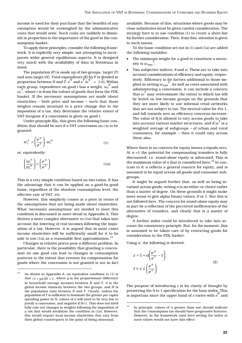income is used for their purchase that the benefits of any exemption would be outweighed by the administrative costs that would arise. Such costs are unlikely to diminish in proportion to the importance of the good in the consumption basket.

To apply these principles, consider the following framework. It is explicitly very simple, not attempting to incorporate wider general equilibrium aspects. It is designed very much with the availability of data in Botswana in mind.

The population (*P*) is made up of two groups, target (*T*) and non-target (*N*). Total expenditure (*E*) by *P* is divided in proportion between *N* and *T*,  $e^N$  and  $e^T(e^{N^2} = 1-\overline{e})$ . Within  $\mathbf{e}^{\mathbf{x}}$  each group, expenditure on good  $i$  has a weight,  $w_i^{N}$  and  $w_i^T$ , where *i* is from the subset of goods that form the PDL basket. If the necessary assumptions are made about elasticities – both price and income – such that these weights remain invariant to a price change due to the imposition of a tax, they determine the relative extent of VAT foregone if a concession is given on good *i.*

Under principle IIIa, this gives the following basic condition that should be met if a VAT concession on *i* is to be granted:

$$
w_i^T > \left(\frac{e^N}{e^T}\right) \cdot w_i^N \tag{1}
$$

or, equivalently:

$$
\left(\frac{w_i^T}{w_i^N}\right) > \left(\frac{e^N}{e^T}\right) \tag{1a}
$$

This is a very simple condition based on two ratios. It has the advantage that it can be applied on a good-by-good basis, regardless of the absolute consumption level, the effective rate of VAT, etc.

However, this simplicity comes at a price in terms of the assumptions that are being made about elasticities. What 'necessary assumptions' are needed to meet this condition is discussed in more detail in Appendix A. This derives a more complex alternative to (1a) that takes into account the lowering of real incomes following the imposition of a tax. However, it is argued that in most cases income elasticities will be sufficiently small for it to be safe to use (1a) as a reasonable first approximation.<sup>14</sup>

Changes in relative prices pose a different problem. In particular, there is the possibility that granting a concession on one good can lead to changes in consumption patterns to the extent that revenue for compensation for goods where the concession is not granted is not in fact available. Because of this, situations where goods may be close substitutes must be given careful consideration. The strategy here is to use condition (1) to create a short-list for further consideration. Then, from this, attention is given to such issues.

To the basic condition set out in (1) and (1a) are added the following variables:

- The minimum weight for a good to constitute a necessity is  $\omega_{min}^T$ ;
- Two subjective indices,  $\theta$  and  $\alpha$ . These are to take into account considerations of efficiency and equity, respectively. Efficiency is for factors additional to those implied in setting  $w_{min}^T$ . As well as costs associated with administering a concession, it can include a concern that  $\omega^T$  may overestimate the extent to which tax will be levied on low income groups on the grounds that they are more likely to use informal retail networks that are not subject to tax. The neutral value for  $\theta$  is 1, and fall towards zero as efficiency concerns increase. The value of  $\theta_i$  is allowed to vary across goods to take into account various market structures, and if  $\omega^T$  is a weighted average of subgroups – of urban and rural consumers, for example – then it could vary across these also.

Where there is no concern for equity issues  $\alpha$  equals zero. At  $\alpha$  =1 the potential for compensating transfers is fully discounted: i.e. stand-alone equity is advocated. This is the maximum value of  $\alpha$  that is considered here.<sup>15</sup> In contrast to  $\theta$ ,  $\alpha$  reflects a general concern for equity, and is assumed to be equal across all goods and consumer subgroups.

It might be argued further that, as well as being invariant across goods, setting  $\alpha$  is an either-or choice rather than a matter of degree. On these grounds it might make more sense to give alpha binary values, 0 or 1. But this is not followed here. The concern for stand-alone equity may in part be a reflection of the perceived inefficiencies of the alternative of transfers, and clearly that is a matter of degree.

A further index could be introduced to take into account the consistency principle. But, for the moment, this is assumed to be taken care of by restricting goods for consideration to the PDL basket.

Using  $\alpha$ , the following is derived:

$$
\varepsilon = 1 + \alpha \left( \frac{e^N}{e^T} - 1 \right)
$$
  

$$
1 \le \varepsilon \le \left( \frac{e^N}{e^T} \right)
$$
 (2)

The purpose of introducing  $\varepsilon$  is for clarity of thought by preserving the 0 to 1 specification for the base index. This is important since the upper band of  $\varepsilon$  varies with  $e^N$  and

As shown in Appendix A, an equivalent condition to (1) is that  $(1 + y\sigma)H < 1$ , where *y* is the proportionate difference in household average incomes between *N* and *T*, σ is the global income elasticity between the two groups, and *H* is the population ratio between *N* and *T*. Clearly, unless the population of *T* is sufficient to dominate the greater per capita spending power in *N*, values of σ will need to be very low to justify a concession, and negative if *H<1*. This does not itself fully rule out changes in weights following the imposition of a tax that would invalidate the condition in (1a). However, this would require local income elasticities that vary from their global counterparts to the point of being abnormal.

<sup>&</sup>lt;sup>15</sup> In principle, values of  $\alpha$  greater than one should indicate that the consumption tax should have progressive features. However, in the framework used here setting the index at such values would not have this effect.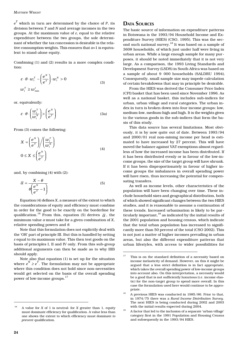*e T* which in turn are determined by the choice of *P*, its division between *T* and *N* and average incomes in the two groups. At the maximum value of  $\varepsilon$ , equal to the relative expenditure between the two groups, the sole determinant of whether the tax concession is desirable is the relative consumption weights. This ensures that  $\alpha$ =1 is equivalent to stand-alone equity.

Combining (1) and (2) results in a more complex condition:

$$
\varepsilon \cdot \theta \cdot w_i^T - \left(\frac{e^N}{e^T}\right) \cdot w_i^N > 0
$$
  

$$
w_i^T \ge w_{min}^t
$$
 (3)

or, equivalently:

$$
\varepsilon \cdot \theta \cdot \left(\frac{w_i^T}{w_i^N}\right) > \left(\frac{e^N}{e^T}\right)
$$
 (3a)

From (3) comes the following:

$$
X = \left(\frac{e^N}{e^T}\right) / \left(\frac{w_i^T}{w_i^N}\right)
$$
  
 
$$
0 \le X \le \left(\frac{e^N}{e^T}\right)
$$
 (4)

and, by combining (4) with (2):

$$
\overline{\alpha} = \frac{X - \theta}{\theta \left(\frac{e^N}{e^T} - 1\right)}\tag{5}
$$

Equation (4) defines *X*, a measure of the extent to which the considerations of equity and efficiency must combine in order for the good to be exactly on the borderline for qualification.<sup>16</sup> From this, equation (5) derives  $\overline{\alpha}$ , the minimum value  $\alpha$  must take for a given combination of *X*, relative spending powers and  $\theta$ .

Note that this formulation does not explicitly deal with the 'OR' part of principle III. But this is handled by setting  $\varepsilon$  equal to its maximum value. This then test goods on the basis of principles I, II and IV only. From this sub-group additional arguments can then be made as to why IIIB should apply.

Note also that equation (1) is set up for the situation where  $e^N \ge e^T$ . The formulation may not be appropriate where this condition does not hold since non-necessities would get selected on the basis of the overall spending power of low-income groups.<sup>17</sup>

### **DATA SOURCES**

The basic source of information on expenditure patterns in Botswana is the 1993/94 Household Income and Expenditure Survey (HIES) (CSO, 1995). This was the second such national survey.<sup>18</sup> It was based on a sample of 3608 households, of which just under half were living in urban areas. While a large enough sample for many purposes, it should be noted immediately that it is not very large. As a comparison, the 1993 Living Standards and Development Survey (LSDS) in South Africa was based on a sample of about 9 000 households (SALDRU 1994). Consequently, small sample size may impede calculation of certain breakdowns that may in principle be desirable.

From the HIES was derived the Consumer Price Index (CPI) basket that has been used since November 1996. As well as a national basket, this includes sub-indices for urban, urban village and rural categories. The urban index in turn is broken down into four income groups: low, medium-low, medium-high and high. It is the weights given to the various goods in the sub-indices that form the basis of this study.

This data source has several limitations. Most obviously, it is by now quite out of date. Between 1993/94 and 2000/01 real non-mining income per head is estimated to have increased by 27 percent. This will have moved the balance against VAT exemptions almost regardless of how the increased income has been distributed. If it has been distributed evenly or in favour of the low-income groups, the size of the target group will have shrunk. If it has been disproportionately in favour of higher income groups the imbalances in overall spending power will have risen, thus increasing the potential for compensating transfers.

As well as income levels, other characteristics of the population will have been changing over time. These include household sizes and geographical distribution, both of which showed significant changes between the two HIES studies, and it is reasonable to assume a continuation of these trends. Increased urbanisation is likely to be particularly important,  $^{19}$  as indicated by the initial results of the 2001 population and housing census, which indicate that the total urban population has increased to significantly more than 50 percent of the total (CSO 2002). This is not just a matter of higher incomes prevailing in urban areas, but also the different expenditure patterns that urban lifestyles, with access to wider possibilities for

 $19$  A factor that led to the inclusion of a separate 'urban village' category first in the 1991 Population and Housing Census and subsequently in the 1993/94 HIES.

<sup>16</sup> A value for *X* of 1 is neutral: for *X* greater than 1, equity must dominate efficiency for qualification. A value less than one shows the extent to which efficiency must dominate *to prevent* qualification.

 $17$  This is on the standard definition of a necessity based on income inelasticity of demand. However, on this it might be argued that a less strict definition is in fact appropriate, which takes the overall spending power of low-income groups into account also. On this interpretation, a necessity would be a good that is not sufficiently luxurious (i.e. income elastic) for the non-target group to spend more overall. In this case the formulation used here would continue to be appropriate.

<sup>&</sup>lt;sup>18</sup> A previous HIES was conducted in 1985/86. Prior to that, in 1974/75 there was a *Rural Income Distribution Survey*. The next HIES is being conducted during 2002 and 2003 with the initial results expected during 2004.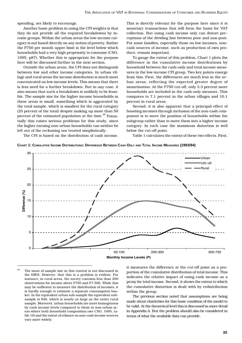spending, are likely to encourage.

Another basic problem in using the CPI weights is that they do not provide all the required breakdowns by income groups. Within the urban areas the low-income category is not based directly on any notion of poverty. Rather the P750 per month upper limit is the level below which households had a very high propensity to consume (CSO, 1995, p87). Whether this is appropriate for the purpose here will be discussed further in the next section.

Outside the urban areas, the CPI does not distinguish between low and other income categories. In urban village and rural areas the income distribution is much more concentrated on low-income levels. This means that there is less need for a further breakdown. But in any case, it also means that such a breakdown is unlikely to be feasible. The sample size for the higher income households in these areas is small, something which is aggravated by the total sample, which is smallest for the rural category (25 percent of the total) despite making up more than 50 percent of the estimated population at the time.<sup>20</sup> Potentially this raises serious problems for this study, since the higher earning non-urban households can neither be left out of the reckoning nor treated simplistically.

This is directly relevant for the purpose here since it is monetary transactions that will form the basis for VAT collection. But using cash income only can distort perceptions of the dividing line between poor and non-poor. For some families, especially those on low incomes, noncash sources of income, such as production of own produce, remain important.

To gauge the extent of this problem, Chart 1 plots the difference in the cumulative income distributions by household between the cash-only and total income measures in the low-income CPI group. Two key points emerge from this. First, the differences are much less in the urban areas, reflecting the expected greater degree of monetisation. At the P750 cut-off, only 3.3 percent more households are included in the cash-only measure. This compares to 7.1 percent in the urban villages and 10.1 percent in rural areas.

Second, it is also apparent that a principal effect of boosting incomes through inclusion of the non-cash component is to move the position of households within the subgroup rather than to move them into a higher income category. In each case the maximum distortion is well below the cut-off point.

The CPI is based on the distribution of cash income.

Table 1 calculates the extent of these two effects. First,

CHART 1: CUMULATIVE INCOME DISTRIBUTIONS: DIFFERENCE BETWEEN CASH ONLY AND TOTAL INCOME MEASURES (1993/94)



 $20$  The issue of sample size in this context is not discussed in the HIES. However, that this is a problem is evident. For instance, in rural areas, the survey contains less than 200 observations for income above P750 and P7 500. While this may be sufficient to measure the distribution of incomes, it is hardly enough to estimate a separate consumption basket. In the equivalent urban sub-sample the equivalent subsample is 846, which is nearly as large as the entire rural sample. Moreover, urban households are more homogenous by cash income levels compared to those in non-urban areas where both household composition (see CSO, 1995, table 19) and the extent of reliance on non-cash income sources vary more widely.

it measures the difference at the cut-off point as a proportion of the cumulative distribution of total income. This indicates the relative impact of using cash income as a proxy for total income. Second, it shows the extent to which the cumulative distortion is dealt with by redistribution within the group.

The previous section noted that assumptions are being made about elasticities for this basic condition of the model to be valid. At the theoretical level this is discussed in more detail in Appendix A. But the problem should also be considered in terms of what the available data can provide.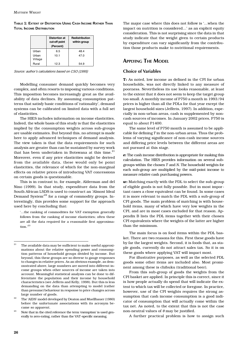**TABLE 1: EXTENT OF DISTORTION USING CASH INCOME RATHER THAN TOTAL INCOME DISTRIBUTION**

|                  | <b>Distortion at</b><br>cut-off point<br>(Percent) | <b>Redistribution</b><br>within group |
|------------------|----------------------------------------------------|---------------------------------------|
| Urban            | 6.5                                                | 48.4                                  |
| Urban<br>Village | 10.1                                               | 47.0                                  |
| Rural            | 12.3                                               | 54.9                                  |

Source: author's calculations based on CSO (1995)

Modelling consumer demand quickly becomes very complex, and often resorts to imposing various conditions. This imposition becomes increasingly great as the availability of data declines. By assuming consumption patterns that satisfy basic conditions of 'rationality', demand systems can be calibrated on limited data with a full set of elasticities.

The HIES includes information on income elasticities. Indeed, the whole basis of this study is that the elasticities implied by the consumption weights across sub-groups are usable estimates. But beyond this, no attempt is made here to apply advanced techniques of demand analysis. The view taken is that the data requirements for such analysis are greater than can be sustained by survey work that has been undertaken in Botswana at this time. $^{21}$ Moreover, even if any price elasticities might be derived from the available data, these would only be point elasticities, the relevance of which for the non-marginal effects on relative prices of introducing VAT concessions on certain goods is questionable.

This is in contrast to, for example, Alderman and del Nino (1999). In that study, expenditure data from the South African LSDS is used to construct an 'Almost Ideal Demand System'<sup>22</sup> for a range of commodity groups. Interestingly, this provides some support for the approach used here by concluding that:

'…the ranking of commodities for VAT exemption generally follows from the ranking of income elasticities; often these are all the data required for a reasonable first approximation.'<sup>23</sup>

 $23$  Note that in the cited reference the term 'exemption' is used generally to zero-rating, rather than the VAT-specific meaning.

The major case where this does not follow is '…when the impact on nutrition is considered…' as an explicit equity consideration. This is not surprising since the data in that study indicate that the weight given to certain products by expenditure can vary significantly from the contribution those products make to nutritional requirements.

### **APPLYING THE MODEL**

### **Choice of Variables**

T: As noted, low income as defined in the CPI for urban households, was not directly linked to any measure of poorness. Nevertheless its use looks reasonable, at least to the extent that it does not seem to keep the target group too small. A monthly income of P750 a month in 1993/94 prices is higher than all the PDLs for that year except the largest household sizes (Jefferis, 1997). In addition, especially in non-urban areas, cash is supplemented by noncash sources of incomes. In January 2002 prices, P750 is equal to about P1400.

The same level of P750 month is assumed to be applicable for defining *T* in the non-urban areas. Thus the problems of varying significance of non-cash income sources and differing price levels between the different areas are not pursued at this stage.

*e*: The cash income distribution is appropriate for making this calculation. The HIES provides information on several subgroups within the chosen *T* and *N.* The household weights for each sub-group are multiplied by the mid-point income to measure relative cash purchasing powers.

*w*: Matching exactly with the PDL to select the sub-group of eligible goods is not fully possible. But in most important cases a close equivalent can be found. In some cases it is more relevant to match the PDL with a sub-group of CPI goods. The main problem of matching is with household items, many of which have very low weights in the CPI, and are in most cases excluded for that reason. Appendix B lists the PDL items together with their chosen CPI equivalents where the weights of the latter are higher than the minimum.

The main focus is on food items within the PDL basket. There are two reasons for this. First these goods have by far the largest weights. Second, it is foods that, as staple goods, currently do not attract sales tax. So it is on these goods where applying VAT will impact most.

For illustrative purposes, as well as the selected PDL goods some other items are included also. Most prominent among these is chibuku (traditional beer).

From this sub-group of goods the weights from the CPI basket are applied. In principle this is correct, since it is how people actually do spend that will indicate the extent to which tax will be collected or foregone. In practice, however, use of the CPI weights requires the strong assumption that cash income consumption is a good indicator of consumption that will actually come within the tax net. As noted, to the extent that this is not the case non-neutral values of  $\theta$  may be justified.

A further practical problem is how to assign such

<sup>&</sup>lt;sup>21</sup> The available data may be sufficient to make useful approximations about the relative spending power and consumption patterns of household groups divided by income. But beyond, this these groups are so diverse to gauge responses to changes in relative prices. As an obvious example, as demonstrated above, large numbers are moved into different income groups when other sources of income are taken into account. Meaningful statistical analysis can be done to differentiate the population and their income by household characteristics (see Jefferis and Kelly, 1998). But this is less demanding on the data than attempting to model (rather than presume) behaviour in response to price changes across large number of goods.

<sup>&</sup>lt;sup>22</sup> The 'AIDS' model developed by Deaton and Muellbauer (1980) before the unfortunate associations with its acronym became so apparent.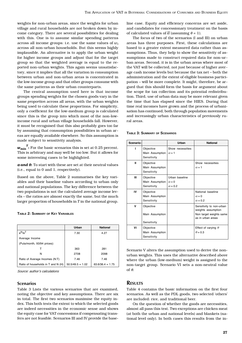weights for non-urban areas, since the weights for urban village and rural households are not broken down by income category. There are several possibilities for dealing with this. One is to assume similar spending patterns across all income groups: i.e. use the same values of  $w_i$ across all non-urban households. But this seems highly implausible. An alternative is to apply the urban weight for higher income groups and adjust that for the target group so that the weighted average is equal to the reported non-urban weights. This again seems unsatisfactory, since it implies that all the variation in consumption between urban and non-urban areas is concentrated in the low-income group and that other groups consume with the same patterns as their urban counterparts.

The central assumption used here is that income groups spending weights for the chosen goods vary in the same *proportion* across all areas, with the urban weights being used to calculate these proportions. For simplicity, only a coefficient for the low-medium group is calculated since this is the group into which most of the non-lowincome rural and urban village households fall. However, it must be recognised that this also probably goes too far by assuming that consumption possibilities in urban areas are equally available elsewhere. So this assumption is made subject to sensitivity analysis.

 $\boldsymbol{w}_{min}$ <sup>T</sup>: For the basic scenarios this is set at 0.25 percent. This is arbitrary and may well be too low. But it allows for some interesting cases to be highlighted.

<sup>α</sup> *and* θ: To start with these are set at their neutral values (i.e., equal to 0 and 1, respectively).

Based on the above, Table 2 summarises the key variables and their baseline values according to urban only and national populations. The key difference between the two populations is not the calculated average income levels – the ratios are almost exactly the same, but the much larger proportion of households in *T* in the national group.

#### **TABLE 2: SUMMARY OF KEY VARIABLES**

|                                    | Urban              | National           |
|------------------------------------|--------------------|--------------------|
| $e^N/e^T$                          | 7.30               | 4.27               |
| Average Income                     |                    |                    |
| (Pula/month, 93/94 prices):        |                    |                    |
|                                    | 363                | 281                |
| N                                  | 2708               | 2098               |
| Ratio of Average Incomes (N:T)     | 7.46               | 7.46               |
| Ratio of households in T and N (H) | $50.5/49.5 = 1.02$ | $63.6/36.4 = 1.75$ |

Source: author's calculations

#### **Scenarios**

Table 3 Lists the various scenarios that are examined, noting the objective and key assumptions. There are six in total. The first two scenarios maximise the equity index. This both tests the extent to which the selected goods are indeed necessities in the economic sense and shows the equity case for VAT concessions if compensating transfers are not feasible. Scenarios III and IV provide the baseline case. Equity and efficiency concerns are set aside, and candidates for concessionary treatment on the basis of calculated values of  $\overline{\alpha}$  (assuming  $\theta$  = 1).

The focus of two of the scenarios (I and III) on urban areas has three purposes. First, these calculations are based to a greater extent measured data rather than assumptions. Thus, they help to show the sensitivity of assumptions made to construct required data for non-urban areas. Second, it is in the urban areas where most of the VAT will be collected, not just because of higher average cash income levels but because the tax net – both the administration and the extent of eligible business participation – will be more complete. It might, therefore, be argued that this should form the basis for argument about the scope for tax collection and its potential redistribution. Third, use of urban data may be more relevant given the time that has elapsed since the HIES. During that time real incomes have grown and the process of urbanisation has continued, both through population movements and increasingly urban characteristics of previously rural areas.

| Scenario:    |                                             | Urban                                            | <b>National</b>                                                                                |
|--------------|---------------------------------------------|--------------------------------------------------|------------------------------------------------------------------------------------------------|
| ı            | Objective<br>Main Assumption<br>Sensitivity | Show necessities<br>$\alpha = 1$                 |                                                                                                |
| $\mathbf{u}$ | Objective<br>Main Assumption<br>Sensitivity |                                                  | Show necessities<br>$\alpha = 1$                                                               |
| Ш            | Objective<br>Main Assumption<br>Sensitivity | Urban baseline<br>$\alpha = 0$<br>$\alpha = 0.2$ |                                                                                                |
| IV           | Objective<br>Main Assumption<br>Sensitivity |                                                  | National baseline<br>$\alpha = 0$<br>$\alpha = 0.2$                                            |
| v            | Objective<br>Main Assumption<br>Sensitivity |                                                  | Sensitivity to non-urban<br>weights assumption<br>Non target weights same<br>as in urban areas |
| ٧I           | Objective<br>Main Assumption<br>Sensitivity |                                                  | Effect of varying $\theta$<br>$\theta$ = 0.3                                                   |

#### **TABLE 3: SUMMARY OF SCENARIOS**

Scenario V alters the assumption used to derive the nonurban weights. This uses the alternative described above where the urban (low-medium) weight is assigned to the non-target group. Scenario VI sets a non-neutral value of θ.

### **RESULTS**

Table 4 contains the basic information on the first four scenarios. As well as the PDL goods, two selected 'others' are included: rice, and traditional beer.

On the question of whether the goods are necessities, almost all pass this test. Two exceptions are chicken meat (at both the urban and national levels) and blankets (national level only). In both cases this results from the in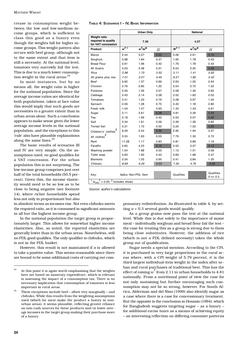crease in consumption weight between the low and low-medium income groups, which is sufficient to class this good as a luxury even though the weights fall for higher income groups. This weight pattern also occurs with beef group, although not to the same extent and that item is still a necessity. At the national level, tomatoes very narrowly fail the test. This is due to a much lower consumption weight in the rural areas. $^{24}$ 

In most instances, but by no means all, the weight ratio is higher for the national population. Since the average income ratios are identical for both populations, taken at face value this would imply that such goods are necessities to a greater extent than in urban areas alone. Such a conclusion appears to make sense given the lower average income levels in the national population, and the exceptions to this 'rule' also have plausible explanations along the same lines.<sup>25</sup>

The basic results of scenarios III and IV are very simple. On the assumptions used, *no* good qualifies for a VAT concession. For the urban population this is not surprising. The low-income group comprises just over half of the total households (50.5 percent). Given this, the income elasticity would need to be so low as to be close to being negative (see footnote 14), where richer households spend less not only in proportionate but also

in absolute terms as incomes rise. Not even chibuku meets the required ratio, as it is consumed in significant amounts in all but the highest income group.

In the national population the target group is proportionately larger. This allows for somewhat higher income elasticities. Also, as noted, the reported elasticities are generally lower than in the urban areas. Nonetheless, still no PDL good qualifies. The only qualifier is chibuku, which is not in the PDL basket.

However, this result is not maintained if  $\alpha$  is allowed to take a positive value. This seems reasonable since there are bound to be some additional costs of carrying out com-

| TABLE 4: SCENARIOS I - IV, BASIC INFORMATION |  |
|----------------------------------------------|--|
|----------------------------------------------|--|

|                                                                                   | <b>Urban Only</b>     |                                | <b>National</b>     |                      |                       |                                |
|-----------------------------------------------------------------------------------|-----------------------|--------------------------------|---------------------|----------------------|-----------------------|--------------------------------|
| <b>Weight ratio</b><br>required to qualify<br>for VAT concession                  |                       | 7.30                           |                     |                      | 4.27                  |                                |
| Product:                                                                          | $w^{T1}$              | w <sup>T</sup> /w <sup>N</sup> | $\overline{\alpha}$ | $W^{T}$ <sup>1</sup> | $w^T$ /w <sup>N</sup> | $\overline{\alpha}$            |
| Maize                                                                             | 2.44                  | 3.07                           | 0.22                | 3.06                 | 2.61                  | 0.19                           |
| Sorghum                                                                           | 0.68                  | 1.84                           | 0.47                | 1.65                 | 1.78                  | 0.43                           |
| <b>Bread Flour</b>                                                                | 0.91                  | 1.96                           | 0.43                | 1.76                 | 1.78                  | 0.43                           |
| All Grains                                                                        | 4.03                  | 2.48                           | 0.31                | 6.54                 | 2.20                  | 0.29                           |
| Rice                                                                              | 2.98                  | 1.70                           | 0.52                | 3.11                 | 1.41                  | 0.62                           |
| All grains plus rice                                                              | 7.01                  | 2.07                           | 0.40                | 9.57                 | 1.80                  | 0.42                           |
| <b>Beef</b>                                                                       | 3.60                  | 1.37                           | 0.69                | 2.63                 | 1.05                  | 0.94                           |
| Chicken                                                                           | 0.76                  | 0.85                           | 1.20                | 0.54                 | 0.72                  | 1.52                           |
| Potatoes                                                                          | 0.59                  | 1.59                           | 0.57                | 0.58                 | 1.39                  | 0.63                           |
| Cabbage                                                                           | 0.43                  | 2.14                           | 0.38                | 0.52                 | 1.82                  | 0.52                           |
| Tomatoes                                                                          | 0.41                  | 1.23                           | 0.79                | 0.28                 | 0.97                  | 1.04                           |
| Spinach                                                                           | 0.56                  | 1.28                           | 0.75                | 0.40                 | 1.18                  | 0.80                           |
| Fresh milk                                                                        | 1.04                  | 1.47                           | 0.63                | 1.34                 | 1.43                  | 0.61                           |
| Sugar                                                                             | 2.11                  | 2.61                           | 0.28                | 4.81                 | 2.39                  | 0.24                           |
| Tea                                                                               | 0.18                  | 1.99                           | 0.42                | 0.50                 | 2.07                  | 0.32                           |
| Salt                                                                              | 0.34                  | 1.61                           | 0.56                | 0.39                 | 1.36                  | 0.65                           |
| Tinned fish                                                                       | 0.21                  | 1.70                           | 0.52                | 0.20                 | 1.53                  | 0.20                           |
| 2<br>Children's' clothes                                                          | 8.39                  | 2.54                           | 0.30                | 2.90                 | 1.94                  | 0.37                           |
| 2<br>All clothes                                                                  | 3.55                  | 1.63                           | 0.55                | 7.76                 | 1.30                  | 0.70                           |
| Rent                                                                              | 11.28                 | 1.17                           | 0.83                | 4.81                 | 0.89                  | 1.16                           |
| Paraffin                                                                          | 0.65                  | 4.23                           | 0.12                | 0.52                 | 3.07                  | 0.12                           |
| Washing powder                                                                    | 1.04                  | 1.68                           | 0.53                | 1.12                 | 1.51                  | 0.56                           |
| Toilet soap                                                                       | 0.63                  | 1.95                           | 0.43                | 0.69                 | 1.68                  | 0.47                           |
| <b>Blankets</b>                                                                   | 0.34                  | 1.05                           | 0.95                | 0.41                 | 0.84                  | 1.25                           |
| Chibuku                                                                           | 8.69                  | 6.29                           | 0.03                | 7.39                 | 4.76                  | $-0.03$                        |
|                                                                                   |                       |                                |                     |                      |                       |                                |
| Key:                                                                              | Italics: Non-PDL Item |                                |                     | Qualifies            |                       | Qualifies<br>if $\alpha$ = 0.3 |
| $\frac{1}{1} w_{\frac{min}{n}}$<br>$\sqrt{T}$ = 0.25; <sup>2</sup> Includes shoes |                       |                                |                     |                      |                       |                                |

Source: author's calculations

pensatory redistribution. As illustrated in table 4, by setting  $\alpha$  = 0.3 several goods would qualify.

As a group grains now pass the test at the national level. While this is due solely to the importance of maize meal – individually sorghum and bread flour fail the test – the case for treating this as a group is strong due to them being close substitutes. However, the addition of rice (which is not a PDL defined necessity) takes the whole group out of qualification.

Sugar needs a special mention. According to the CPI, it is purchased in very large proportions in the rural areas where, with a CPI weight of 5.79 percent, it is the third largest individual-item weight in the index after urban and rural purchases of traditional beer. This has the effect of raising  $\omega^T$  from 2.11 in urban households to 4.81 nationally. From a nutritional point of view the case for not only sustaining but further encouraging such consumption may not be so strong, however. For South Africa, Alderman and del Nino (1999) also identify sugar as a case where there is a case for concessionary treatment. But the opposite is the conclusion in Hossain (1994), which for Bangladesh suggests targeting sugar – as a luxury – for *additional excise taxes* as a means of achieving equity – an interesting reflection on differing consumer patterns

<sup>&</sup>lt;sup>24</sup> At this point it is again worth emphasising that the weights here are based on monetary expenditure, which is relevant is assessing the impact of a consumption tax. There is no necessary implication that consumption of tomatoes is less important in rural areas.

<sup>25</sup> These exceptions include beef – albeit very marginally – and chibuku. While this results from the weighting assumptions used (which for meat make the product a luxury in nonurban areas), it seems plausible, reflecting greater reliance on non-cash sources for these products and/or lower average incomes in the target group making their purchase more of a luxury.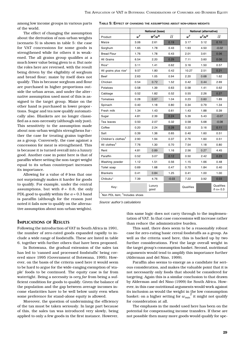among low income groups in various parts of the world.

The effect of changing the assumption about the derivation of non-urban weights (scenario 5) is shown in table 5: the case for VAT concessions for some goods is strengthened while for others it is weakened. The all grains group qualifies at a much lower value being given to  $\alpha$ . But note the roles here are reversed, with the result being driven by the eligibility of sorghum and bread flour; maize by itself does not qualify. This is because sorghum and flour are purchased in higher proportions outside the urban areas, and under the alternative assumption used most of this is assigned to the target group. Maize on the other hand is purchased in lower proportions. Sugar and tea now qualify automatically also. Blankets are no longer classified as a non-necessity (although only just). This sensitivity to the assumption made about non-urban weights strengthens further the case for treating grains together as a group. Conversely, the case against a concession for meat is strengthened. This is because it is turned overall into a luxury good. Another case in point here is that of paraffin where setting the non-target weight equal to its urban counterpart increases its importance.

Allowing for a value of  $\theta$  less that one not surprisingly makes it harder for goods to qualify. For example, under the central assumptions, but with  $\theta = 0.8$ , the only PDL good to qualify within the  $\alpha$  = 0.3 band is paraffin (although for the reason just noted it fails now to qualify on the alternative assumption about non-urban weights).

#### **National (base) National (alternative)** Product **w<sup>T</sup>**  $T$   $W^T$ /w  $\overline{\alpha}$  |  $w^T$ **<sup>T</sup> <sup>w</sup> T /w <sup>N</sup>** <sup>α</sup> Maize 3.06 2.61 0.19 3.17 3.12 0.10 Sorghum 1.65 1.78 0.43 1.93 4.50 -0.02 Bread Flour 1.76 1.78 0.43 2.01 3.61 0.06 All Grains 6.54 2.20 0.29 7.11 3.60 0.06 Rice\* 3.11 1.41 0.62 3.16 1.50 0.57 All grains plus rice\* 9.57 1.80 0.42 10.27 2.51 Beef 2.63 1.05 0.94 2.20 0.68 1.62 Chicken 0.54 0.72 1.52 0.42 0.44 2.69 Potatoes 0.58 1.39 0.63 0.58 1.41 0.62 Cabbage 0.52 1.82 0.52 0.55 2.26 0.27 Tomatoes 0.28 0.97 1.04 0.23 0.60 1.89 Spinach 0.40 1.18 0.80 0.34 0.79 1.34 Fresh milk 1.34 1.43 0.61 1.43 1.88 0.39 Sugar 4.81 2.39 0.24 5.39 5.43 -0.07 Tea leaves 0.50 2.07 0.32 0.58 5.68 -0.08 Coffee 0.20 2.24 0.28 0.22 3.16 0.11 Salt 0.39 1.36 0.65 0.40 1.60 0.51 Child 2.90 1.94 0.37 2.76 1.60 0.51 All c 7.76 1.30 0.70 7.54 1.18 0.80 Rent 4.81 0.89 1.16 2.56 0.27 4.45 Paraffin 0.52 3.07 0.12 0.50 2.42 0.23 Washing powder 1.12 1.51 0.56 1.15 1.66 0.48 Toilet soap 0.69 1.68 0.47 0.70 1.84 0.40 Blankets 0.41 0.84 1.25 0.41 1.00 1.00 Chibuku\* 7.39 4.76 -0.03 7.22 3.92 0.03 Key: Luxury good Qualifies Qualifies if  $\alpha$ = 0.3  $^*$ Non

Source: author's calculations

### **IMPLICATIONS OF RESULTS**

Following the introduction of VAT in South Africa in 1991, the number of zero-rated goods expanded rapidly to include a wide range of foodstuffs. These are listed in table 6, together with further others that have been proposed.

In Botswana, the gradual extension of the sales tax has led to 'canned and processed foodstuffs' being covered since 1995 (Government of Botswana, 1995). However, on the basis of the criteria used here it would seem to be hard to argue for the wide-ranging exemption of 'staple' foods to be continued. The equity case is far from watertight. Being a necessity is *very far* from being a sufficient condition for goods to qualify. Given the balance of the population and the gap between average incomes income elasticities have to be well below unity even when some preference for stand-alone equity is allowed.

Moreover, the question of undermining the efficiency of the tax must be taken seriously. In large part because of this, the sales tax was introduced very slowly, being applied to only a few goods in the first instance. However,

**TABLE 5: EFFECT OF CHANGING THE ASSUMPTIONS ABOUT NON-URBAN WEIGHTS**

| rains plus nce                        | ອ.ວາ | <b>UO.I</b>    | 0.4Z    | U.L       | ا ت.ے | 0.21                           |
|---------------------------------------|------|----------------|---------|-----------|-------|--------------------------------|
|                                       | 2.63 | 1.05           | 0.94    | 2.20      | 0.68  | 1.62                           |
| ken                                   | 0.54 | 0.72           | 1.52    | 0.42      | 0.44  | 2.69                           |
| toes                                  | 0.58 | 1.39           | 0.63    | 0.58      | 1.41  | 0.62                           |
| dage                                  | 0.52 | 1.82           | 0.52    | 0.55      | 2.26  | 0.27                           |
| atoes                                 | 0.28 | 0.97           | 1.04    | 0.23      | 0.60  | 1.89                           |
| ach                                   | 0.40 | 1.18           | 0.80    | 0.34      | 0.79  | 1.34                           |
| h milk                                | 1.34 | 1.43           | 0.61    | 1.43      | 1.88  | 0.39                           |
| 1ľ                                    | 4.81 | 2.39           | 0.24    | 5.39      | 5.43  | $-0.07$                        |
| leaves                                | 0.50 | 2.07           | 0.32    | 0.58      | 5.68  | $-0.08$                        |
| эe                                    | 0.20 | 2.24           | 0.28    | 0.22      | 3.16  | 0.11                           |
|                                       | 0.39 | 1.36           | 0.65    | 0.40      | 1.60  | 0.51                           |
| Iren's clothes <sup>1</sup>           | 2.90 | 1.94           | 0.37    | 2.76      | 1.60  | 0.51                           |
| lothes <sup>1</sup>                   | 7.76 | 1.30           | 0.70    | 7.54      | 1.18  | 0.80                           |
|                                       | 4.81 | 0.89           | 1.16    | 2.56      | 0.27  | 4.45                           |
| ffin                                  | 0.52 | 3.07           | 0.12    | 0.50      | 2.42  | 0.23                           |
| hing powder                           | 1.12 | 1.51           | 0.56    | 1.15      | 1.66  | 0.48                           |
| t soap                                | 0.69 | 1.68           | 0.47    | 0.70      | 1.84  | 0.40                           |
| kets                                  | 0.41 | 0.84           | 1.25    | 0.41      | 1.00  | 1.00                           |
| uku*                                  | 7.39 | 4.76           | $-0.03$ | 7.22      | 3.92  | 0.03                           |
| Key:                                  |      | Luxury<br>good |         | Qualifies |       | Qualifies<br>if $\alpha$ = 0.3 |
| PDL item; <sup>1</sup> Includes shoes |      |                |         |           |       |                                |
|                                       |      |                |         |           |       |                                |

this same logic does not carry through to the implementation of VAT. In that case concessions will increase rather than reduce the administrative burden.

This said, there does seem to be a reasonably robust case for zero-rating basic cereal foodstuffs as a group. As well as the criteria used here, this is backed up by two further considerations. First the large overall weight in the target group's consumption basket. Second, nutritional arguments would tend to amplify this importance further (Alderman and del Nino, 1999).

Paraffin also seems to emerge as a candidate for serious consideration, and makes the valuable point that it is not necessarily only foods that should be considered for targeting. Again this is a similar conclusion to that drawn by Alderman and del Nino (1999) for South Africa. However, in this case nutritional arguments would work against its inclusion as would the weight in the low consumption basket: on a higher setting for  $\omega_{min}^{-T}$  it might not qualify for consideration at all.

The emphasis in the model used here has been on the potential for compensating income transfers. If these are not possible then many more goods would qualify for spe-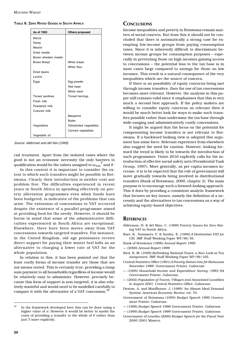#### **TABLE 6: ZERO RATED GOODS IN SOUTH AFRICA**

| As of 1993             | Others proposed        |
|------------------------|------------------------|
| Maize                  |                        |
| Samp                   |                        |
| Mealie                 |                        |
| Dried mealie           |                        |
| Brown wheaten mealie   |                        |
| <b>Brown Bread</b>     | White bread            |
|                        | White flour            |
| Dried beans            |                        |
| Lentils                |                        |
| Eggs                   | Egg powder             |
|                        | Red meat               |
|                        | White meat             |
| <b>Tinned sardines</b> | <b>Tinned herrings</b> |
| Fresh milk             |                        |
| Powdered milk          |                        |
| Cultured milk          |                        |
|                        | Margarine              |
|                        | <b>Butter</b>          |
| Vegetables             | Dehydrated vegetables  |
|                        | Canned vegetables      |
| Vegetable oil          |                        |

Source: Alderman and del Nini (1999)

cial treatment. Apart from the isolated cases where the good is not an economic necessity the only barriers to qualification would be the values assigned to  $\overset{\circ}{w_{min}}^{T}$  and  $\theta$  .

In this context it is important to consider the extent to which such transfers might be possible in Botswana. Clearly their introduction is neither cost nor problem free. The difficulties experienced in recent years in South Africa in spending effectively on poverty alleviation programmes even when funds have been budgeted, is indicative of the problems that can arise. The extension of concessions to VAT occurred despite the existence of a parallel programme aimed at providing food for the needy. However, it should be borne in mind that some of the administrative difficulties experienced in South Africa are exceptional. Elsewhere, there have been moves away from VAT concessions towards targeted transfers. For instance, in the United Kingdom, old age pensioners receive direct support for paying their winter fuel bills as an alternative to charging a lower rate of VAT for the whole population.

In relation to this, it has been pointed out that the least costly forms of income transfer are those that are not means tested. This is certainly true: providing a lump sum payment to all households regardless of income would be relatively easy to administer. However, precisely because this form of support is non-targeted, it is also relatively wasteful and would need to be modelled carefully to compare it with the alternative of a VAT concession.<sup>26</sup>

### **CONCLUSIONS**

Income inequalities and poverty in Botswana remain matters of social concern. But from this it should not be concluded that there is automatically a strong case for exempting low-income groups from paying consumption taxes. Since it is inherently difficult to discriminate between income groups for consumption purposes – especially in preventing those on high incomes gaining access to concessions – the potential loss to the tax base is in most cases large compared to savings for those on low incomes. This result is a natural consequence of the very inequalities which are the source of concern.

If there is no possibility of equity concerns being met through income transfers, then the use of tax concessions becomes more relevant. However, the analysis in this paper still remains valid since it emphasises that this is very much a second best approach. If the policy makers are willing to consider equity concerns as relevant then it would be much better look for ways to make such transfers possible rather than undermine the tax base through wide-ranging and administratively costly concessions.

It might be argued that the focus on the potential for compensating income transfers is not relevant to Botswana. If a backward looking view is adopted this argument has some force. Relevant experience from elsewhere also suggest the need for caution. However, looking forward the trend is likely to be towards the introduction of such programmes. *Vision 2016* explicitly calls for the introduction of effective social safety nets (Presidential Task Group, 1997). More generally, as per capita incomes increase, it is to be expected that the role of government will move gradually towards being involved in distributional transfers (Bank of Botswana, 2000, chapter 2)*.* The main purpose is to encourage such a forward-looking approach. This it does by providing a consistent analytic framework that focuses on key issues, namely the definition of a necessity and the alternatives to tax concessions as a way of achieving equity-based objectives.

### **REFERENCES**

- Alderman, H. & del Nino, C. (1999) Poverty Issues for Zero Rating VAT in South Africa.
- Baer, K., Summers, V. & Sunley, E. (1996) *A Destination VAT for CIS.* IMF Staff Working Paper WP/96/35.
- Bank of Botswana (1996) *Annual Report 1995*
- (2000) *Annual Report 1999*
- Bird, R. M. (1999) *Rethinking National Taxes: a New Look at Tax Assignment*. IMF Staff Working Paper WP/99/165.
- Central Statistics Office (1991) *A Poverty Datum Line for Botswana November 1989.* Government Printer, Gaborone
- (1995) *Household Income and Expenditure Survey: 1993/94* Government Printer, Gaborone.
- (2002) *Population of Towns, Villages and Associated Localities in August 2001.* Central Statistics Office, Gaborone.
- Deaton, A. and Muellbauer, J. (1980) 'An Almost Ideal Demand System' *American Economic Review* vol. 70.
- Government of Botswana (1995) *Budget Speech 1995* Government Printer, Gaborone.

- (1999) *Budget Speech 1999* Government Printer, Gaborone.
- Government of Lesotho (2000) *Budget Speech for the Fiscal Year 2000/2001* Maseru.

 $26$  In the framework developed here this can be done using a higher value of  $\alpha$ . However it would be better to model the costs of providing a transfer to the whole of *P* rather than just *T* more explicitly.

<sup>— (1996)</sup> *Budget Speech 1996* Government Printer, Gaborone.